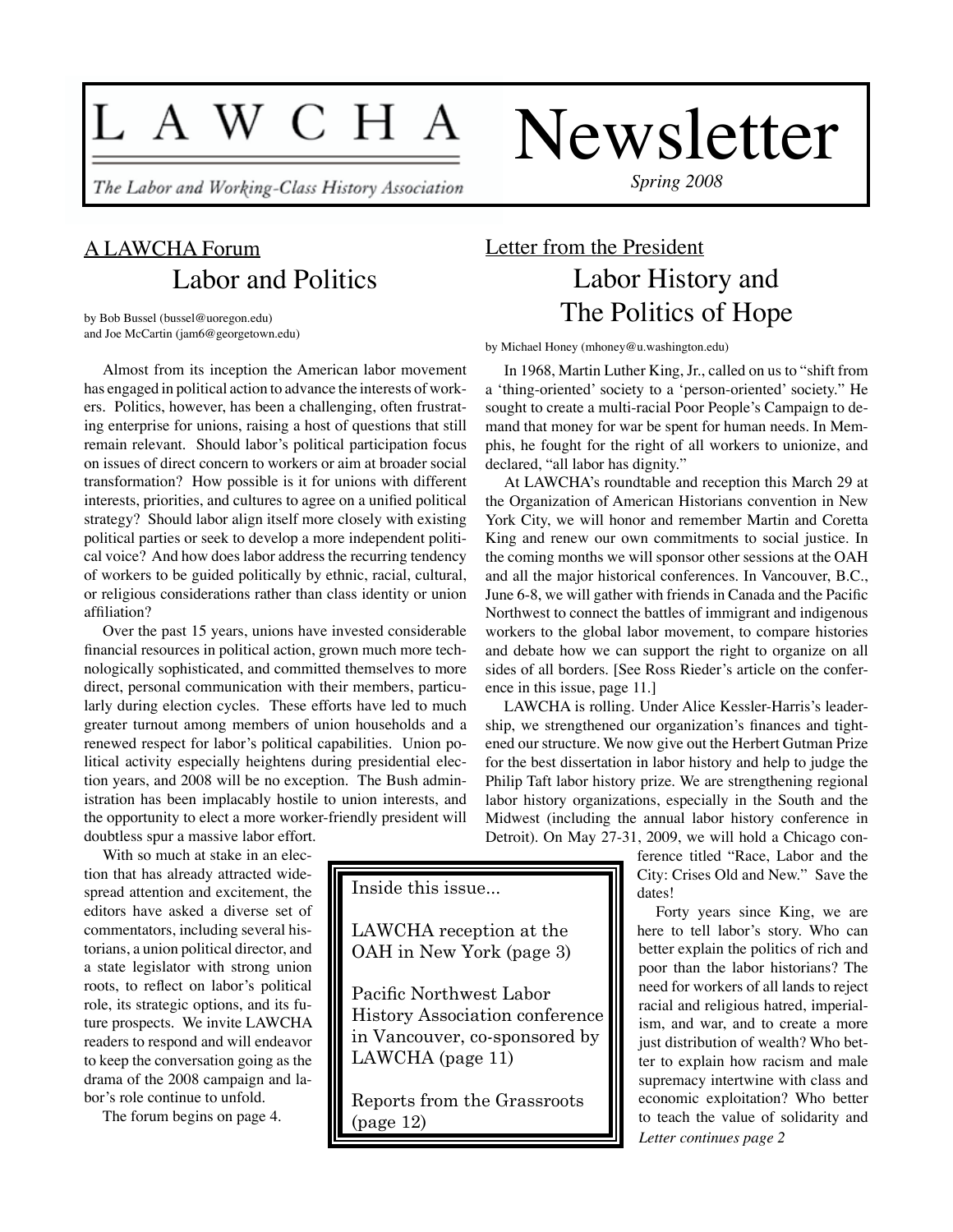# L A W C H A

The Labor and Working-Class History Association

*Spring 2008*

Newsletter

## A LAWCHA Forum Labor and Politics

by Bob Bussel (bussel@uoregon.edu) and Joe McCartin (jam6@georgetown.edu)

Almost from its inception the American labor movement has engaged in political action to advance the interests of workers. Politics, however, has been a challenging, often frustrating enterprise for unions, raising a host of questions that still remain relevant. Should labor's political participation focus on issues of direct concern to workers or aim at broader social transformation? How possible is it for unions with different interests, priorities, and cultures to agree on a unified political strategy? Should labor align itself more closely with existing political parties or seek to develop a more independent political voice? And how does labor address the recurring tendency of workers to be guided politically by ethnic, racial, cultural, or religious considerations rather than class identity or union affiliation?

Over the past 15 years, unions have invested considerable financial resources in political action, grown much more technologically sophisticated, and committed themselves to more direct, personal communication with their members, particularly during election cycles. These efforts have led to much greater turnout among members of union households and a renewed respect for labor's political capabilities. Union political activity especially heightens during presidential election years, and 2008 will be no exception. The Bush administration has been implacably hostile to union interests, and the opportunity to elect a more worker-friendly president will doubtless spur a massive labor effort.

With so much at stake in an election that has already attracted widespread attention and excitement, the editors have asked a diverse set of commentators, including several historians, a union political director, and a state legislator with strong union roots, to reflect on labor's political role, its strategic options, and its future prospects. We invite LAWCHA readers to respond and will endeavor to keep the conversation going as the drama of the 2008 campaign and labor's role continue to unfold.

The forum begins on page 4.

## Letter from the President Labor History and The Politics of Hope

by Michael Honey (mhoney@u.washington.edu)

In 1968, Martin Luther King, Jr., called on us to "shift from a 'thing-oriented' society to a 'person-oriented' society." He sought to create a multi-racial Poor People's Campaign to demand that money for war be spent for human needs. In Memphis, he fought for the right of all workers to unionize, and declared, "all labor has dignity."

At LAWCHA's roundtable and reception this March 29 at the Organization of American Historians convention in New York City, we will honor and remember Martin and Coretta King and renew our own commitments to social justice. In the coming months we will sponsor other sessions at the OAH and all the major historical conferences. In Vancouver, B.C., June 6-8, we will gather with friends in Canada and the Pacific Northwest to connect the battles of immigrant and indigenous workers to the global labor movement, to compare histories and debate how we can support the right to organize on all sides of all borders. [See Ross Rieder's article on the conference in this issue, page 11.]

LAWCHA is rolling. Under Alice Kessler-Harris's leadership, we strengthened our organization's finances and tightened our structure. We now give out the Herbert Gutman Prize for the best dissertation in labor history and help to judge the Philip Taft labor history prize. We are strengthening regional labor history organizations, especially in the South and the Midwest (including the annual labor history conference in Detroit). On May 27-31, 2009, we will hold a Chicago con-

ference titled "Race, Labor and the City: Crises Old and New." Save the dates!

Forty years since King, we are here to tell labor's story. Who can better explain the politics of rich and poor than the labor historians? The need for workers of all lands to reject racial and religious hatred, imperialism, and war, and to create a more just distribution of wealth? Who better to explain how racism and male supremacy intertwine with class and economic exploitation? Who better to teach the value of solidarity and *Letter continues page 2*

Inside this issue...

LAWCHA reception at the OAH in New York (page 3)

Pacific Northwest Labor History Association conference in Vancouver, co-sponsored by LAWCHA (page 11)

Reports from the Grassroots (page 12)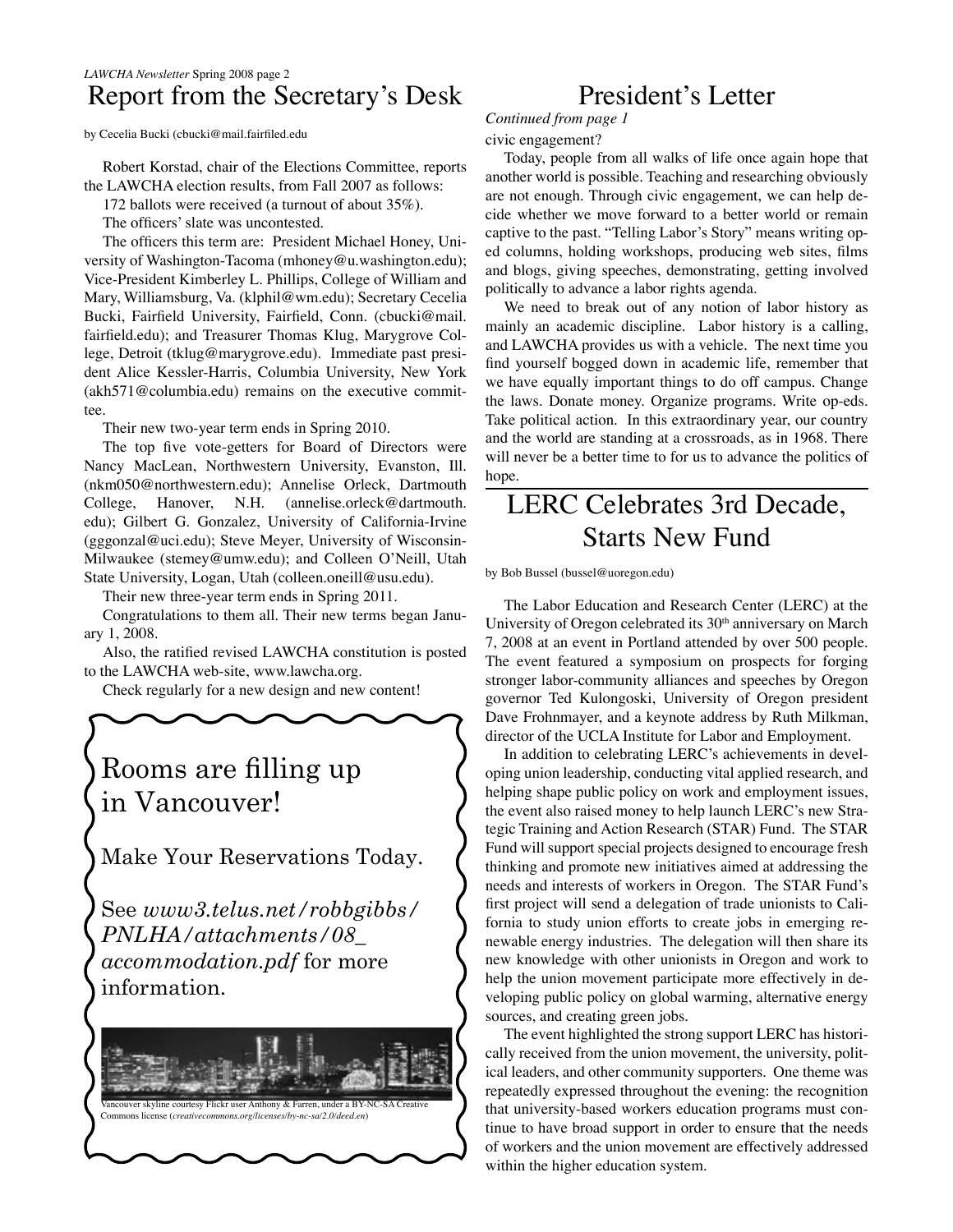## *LAWCHA Newsletter* Spring 2008 page 2 Report from the Secretary's Desk

by Cecelia Bucki (cbucki@mail.fairfiled.edu

Robert Korstad, chair of the Elections Committee, reports the LAWCHA election results, from Fall 2007 as follows:

172 ballots were received (a turnout of about 35%).

The officers' slate was uncontested.

The officers this term are: President Michael Honey, University of Washington-Tacoma (mhoney@u.washington.edu); Vice-President Kimberley L. Phillips, College of William and Mary, Williamsburg, Va. (klphil@wm.edu); Secretary Cecelia Bucki, Fairfield University, Fairfield, Conn. (cbucki@mail. fairfield.edu); and Treasurer Thomas Klug, Marygrove College, Detroit (tklug@marygrove.edu). Immediate past president Alice Kessler-Harris, Columbia University, New York (akh571@columbia.edu) remains on the executive committee.

Their new two-year term ends in Spring 2010.

The top five vote-getters for Board of Directors were Nancy MacLean, Northwestern University, Evanston, Ill. (nkm050@northwestern.edu); Annelise Orleck, Dartmouth College, Hanover, N.H. (annelise.orleck@dartmouth. edu); Gilbert G. Gonzalez, University of California-Irvine (gggonzal@uci.edu); Steve Meyer, University of Wisconsin-Milwaukee (stemey@umw.edu); and Colleen O'Neill, Utah State University, Logan, Utah (colleen.oneill@usu.edu).

Their new three-year term ends in Spring 2011.

Congratulations to them all. Their new terms began January 1, 2008.

Also, the ratified revised LAWCHA constitution is posted to the LAWCHA web-site, www.lawcha.org.

Check regularly for a new design and new content!



*accommodation.pdf* for more information.



## President's Letter

*Continued from page 1*

#### civic engagement?

Today, people from all walks of life once again hope that another world is possible. Teaching and researching obviously are not enough. Through civic engagement, we can help decide whether we move forward to a better world or remain captive to the past. "Telling Labor's Story" means writing oped columns, holding workshops, producing web sites, films and blogs, giving speeches, demonstrating, getting involved politically to advance a labor rights agenda.

We need to break out of any notion of labor history as mainly an academic discipline. Labor history is a calling, and LAWCHA provides us with a vehicle. The next time you find yourself bogged down in academic life, remember that we have equally important things to do off campus. Change the laws. Donate money. Organize programs. Write op-eds. Take political action. In this extraordinary year, our country and the world are standing at a crossroads, as in 1968. There will never be a better time to for us to advance the politics of hope.

## LERC Celebrates 3rd Decade, Starts New Fund

by Bob Bussel (bussel@uoregon.edu)

The Labor Education and Research Center (LERC) at the University of Oregon celebrated its 30<sup>th</sup> anniversary on March 7, 2008 at an event in Portland attended by over 500 people. The event featured a symposium on prospects for forging stronger labor-community alliances and speeches by Oregon governor Ted Kulongoski, University of Oregon president Dave Frohnmayer, and a keynote address by Ruth Milkman, director of the UCLA Institute for Labor and Employment.

In addition to celebrating LERC's achievements in developing union leadership, conducting vital applied research, and helping shape public policy on work and employment issues, the event also raised money to help launch LERC's new Strategic Training and Action Research (STAR) Fund. The STAR Fund will support special projects designed to encourage fresh thinking and promote new initiatives aimed at addressing the needs and interests of workers in Oregon. The STAR Fund's first project will send a delegation of trade unionists to California to study union efforts to create jobs in emerging renewable energy industries. The delegation will then share its new knowledge with other unionists in Oregon and work to help the union movement participate more effectively in developing public policy on global warming, alternative energy sources, and creating green jobs.

The event highlighted the strong support LERC has historically received from the union movement, the university, political leaders, and other community supporters. One theme was repeatedly expressed throughout the evening: the recognition that university-based workers education programs must continue to have broad support in order to ensure that the needs of workers and the union movement are effectively addressed within the higher education system.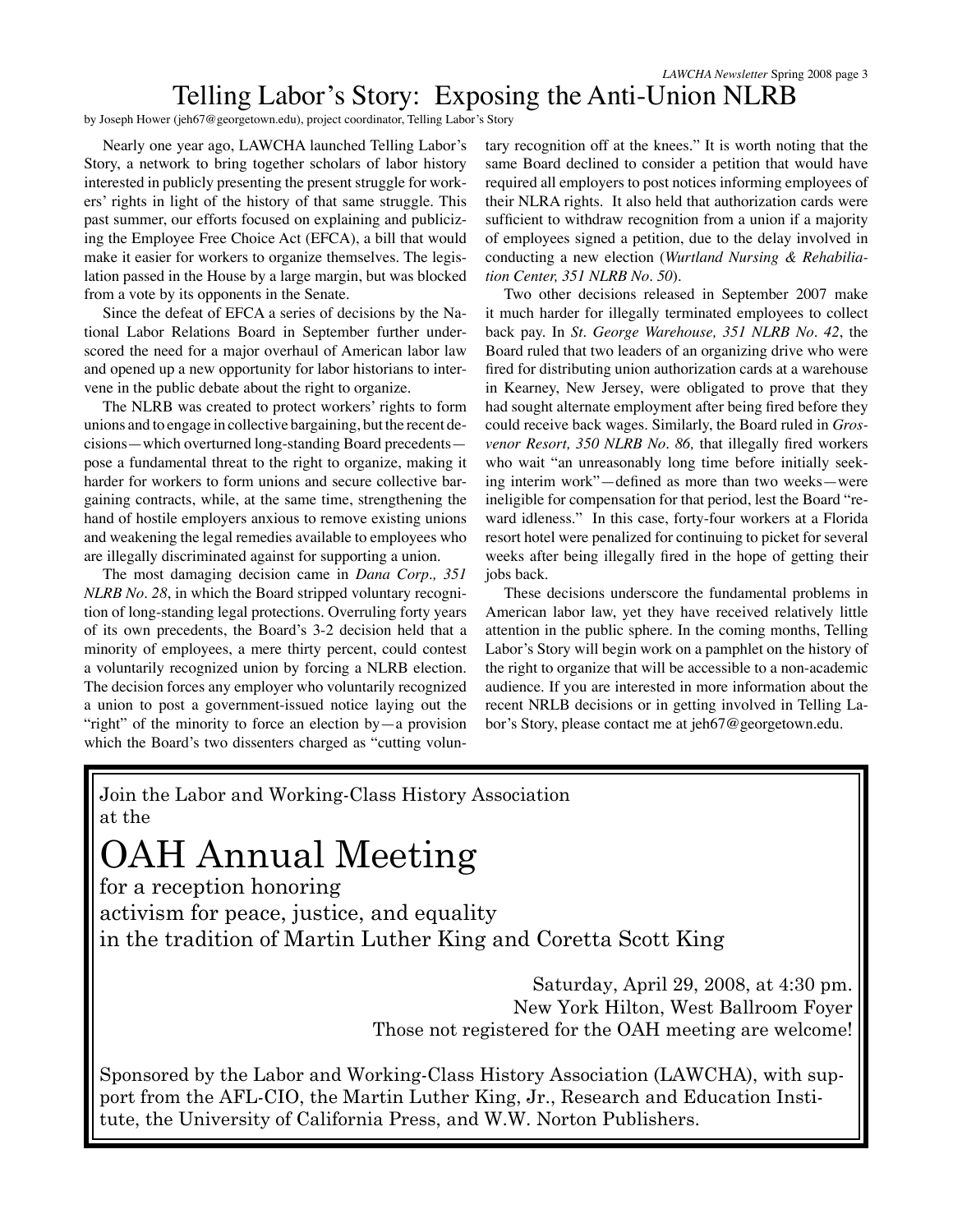## Telling Labor's Story: Exposing the Anti-Union NLRB

by Joseph Hower (jeh67@georgetown.edu), project coordinator, Telling Labor's Story

Nearly one year ago, LAWCHA launched Telling Labor's Story, a network to bring together scholars of labor history interested in publicly presenting the present struggle for workers' rights in light of the history of that same struggle. This past summer, our efforts focused on explaining and publicizing the Employee Free Choice Act (EFCA), a bill that would make it easier for workers to organize themselves. The legislation passed in the House by a large margin, but was blocked from a vote by its opponents in the Senate.

Since the defeat of EFCA a series of decisions by the National Labor Relations Board in September further underscored the need for a major overhaul of American labor law and opened up a new opportunity for labor historians to intervene in the public debate about the right to organize.

The NLRB was created to protect workers' rights to form unions and to engage in collective bargaining, but the recent decisions—which overturned long-standing Board precedents pose a fundamental threat to the right to organize, making it harder for workers to form unions and secure collective bargaining contracts, while, at the same time, strengthening the hand of hostile employers anxious to remove existing unions and weakening the legal remedies available to employees who are illegally discriminated against for supporting a union.

The most damaging decision came in *Dana Corp., 351 NLRB No. 28*, in which the Board stripped voluntary recognition of long-standing legal protections. Overruling forty years of its own precedents, the Board's 3-2 decision held that a minority of employees, a mere thirty percent, could contest a voluntarily recognized union by forcing a NLRB election. The decision forces any employer who voluntarily recognized a union to post a government-issued notice laying out the "right" of the minority to force an election by—a provision which the Board's two dissenters charged as "cutting voluntary recognition off at the knees." It is worth noting that the same Board declined to consider a petition that would have required all employers to post notices informing employees of their NLRA rights. It also held that authorization cards were sufficient to withdraw recognition from a union if a majority of employees signed a petition, due to the delay involved in conducting a new election (*Wurtland Nursing & Rehabiliation Center, 351 NLRB No. 50*).

Two other decisions released in September 2007 make it much harder for illegally terminated employees to collect back pay. In *St. George Warehouse, 351 NLRB No. 42*, the Board ruled that two leaders of an organizing drive who were fired for distributing union authorization cards at a warehouse in Kearney, New Jersey, were obligated to prove that they had sought alternate employment after being fired before they could receive back wages. Similarly, the Board ruled in *Grosvenor Resort, 350 NLRB No. 86,* that illegally fired workers who wait "an unreasonably long time before initially seeking interim work"—defined as more than two weeks—were ineligible for compensation for that period, lest the Board "reward idleness." In this case, forty-four workers at a Florida resort hotel were penalized for continuing to picket for several weeks after being illegally fired in the hope of getting their jobs back.

These decisions underscore the fundamental problems in American labor law, yet they have received relatively little attention in the public sphere. In the coming months, Telling Labor's Story will begin work on a pamphlet on the history of the right to organize that will be accessible to a non-academic audience. If you are interested in more information about the recent NRLB decisions or in getting involved in Telling Labor's Story, please contact me at jeh67@georgetown.edu.

Join the Labor and Working-Class History Association at the

## OAH Annual Meeting

for a reception honoring activism for peace, justice, and equality in the tradition of Martin Luther King and Coretta Scott King

> Saturday, April 29, 2008, at 4:30 pm. New York Hilton, West Ballroom Foyer Those not registered for the OAH meeting are welcome!

Sponsored by the Labor and Working-Class History Association (LAWCHA), with support from the AFL-CIO, the Martin Luther King, Jr., Research and Education Institute, the University of California Press, and W.W. Norton Publishers.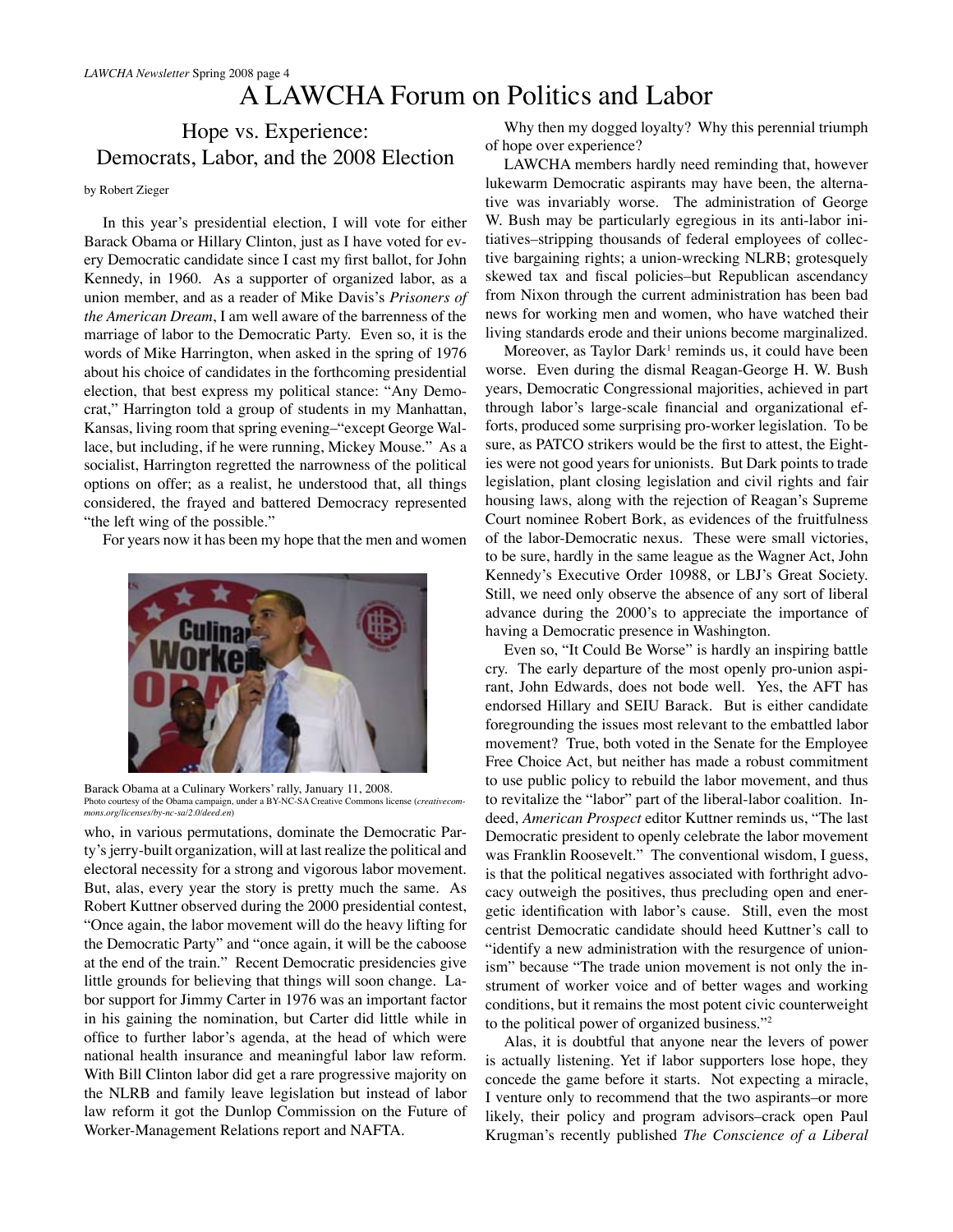## A LAWCHA Forum on Politics and Labor

## Hope vs. Experience: Democrats, Labor, and the 2008 Election

#### by Robert Zieger

In this year's presidential election, I will vote for either Barack Obama or Hillary Clinton, just as I have voted for every Democratic candidate since I cast my first ballot, for John Kennedy, in 1960. As a supporter of organized labor, as a union member, and as a reader of Mike Davis's *Prisoners of the American Dream*, I am well aware of the barrenness of the marriage of labor to the Democratic Party. Even so, it is the words of Mike Harrington, when asked in the spring of 1976 about his choice of candidates in the forthcoming presidential election, that best express my political stance: "Any Democrat," Harrington told a group of students in my Manhattan, Kansas, living room that spring evening–"except George Wallace, but including, if he were running, Mickey Mouse." As a socialist, Harrington regretted the narrowness of the political options on offer; as a realist, he understood that, all things considered, the frayed and battered Democracy represented "the left wing of the possible."

For years now it has been my hope that the men and women



Barack Obama at a Culinary Workers' rally, January 11, 2008. Photo courtesy of the Obama campaign, under a BY-NC-SA Creative Commons license (*creativecommons.org/licenses/by-nc-sa/2.0/deed.en*)

who, in various permutations, dominate the Democratic Party's jerry-built organization, will at last realize the political and electoral necessity for a strong and vigorous labor movement. But, alas, every year the story is pretty much the same. As Robert Kuttner observed during the 2000 presidential contest, "Once again, the labor movement will do the heavy lifting for the Democratic Party" and "once again, it will be the caboose at the end of the train." Recent Democratic presidencies give little grounds for believing that things will soon change. Labor support for Jimmy Carter in 1976 was an important factor in his gaining the nomination, but Carter did little while in office to further labor's agenda, at the head of which were national health insurance and meaningful labor law reform. With Bill Clinton labor did get a rare progressive majority on the NLRB and family leave legislation but instead of labor law reform it got the Dunlop Commission on the Future of Worker-Management Relations report and NAFTA.

Why then my dogged loyalty? Why this perennial triumph of hope over experience?

LAWCHA members hardly need reminding that, however lukewarm Democratic aspirants may have been, the alternative was invariably worse. The administration of George W. Bush may be particularly egregious in its anti-labor initiatives–stripping thousands of federal employees of collective bargaining rights; a union-wrecking NLRB; grotesquely skewed tax and fiscal policies–but Republican ascendancy from Nixon through the current administration has been bad news for working men and women, who have watched their living standards erode and their unions become marginalized.

Moreover, as Taylor Dark<sup>1</sup> reminds us, it could have been worse. Even during the dismal Reagan-George H. W. Bush years, Democratic Congressional majorities, achieved in part through labor's large-scale financial and organizational efforts, produced some surprising pro-worker legislation. To be sure, as PATCO strikers would be the first to attest, the Eighties were not good years for unionists. But Dark points to trade legislation, plant closing legislation and civil rights and fair housing laws, along with the rejection of Reagan's Supreme Court nominee Robert Bork, as evidences of the fruitfulness of the labor-Democratic nexus. These were small victories, to be sure, hardly in the same league as the Wagner Act, John Kennedy's Executive Order 10988, or LBJ's Great Society. Still, we need only observe the absence of any sort of liberal advance during the 2000's to appreciate the importance of having a Democratic presence in Washington.

Even so, "It Could Be Worse" is hardly an inspiring battle cry. The early departure of the most openly pro-union aspirant, John Edwards, does not bode well. Yes, the AFT has endorsed Hillary and SEIU Barack. But is either candidate foregrounding the issues most relevant to the embattled labor movement? True, both voted in the Senate for the Employee Free Choice Act, but neither has made a robust commitment to use public policy to rebuild the labor movement, and thus to revitalize the "labor" part of the liberal-labor coalition. Indeed, *American Prospect* editor Kuttner reminds us, "The last Democratic president to openly celebrate the labor movement was Franklin Roosevelt." The conventional wisdom, I guess, is that the political negatives associated with forthright advocacy outweigh the positives, thus precluding open and energetic identification with labor's cause. Still, even the most centrist Democratic candidate should heed Kuttner's call to "identify a new administration with the resurgence of unionism" because "The trade union movement is not only the instrument of worker voice and of better wages and working conditions, but it remains the most potent civic counterweight to the political power of organized business."2

Alas, it is doubtful that anyone near the levers of power is actually listening. Yet if labor supporters lose hope, they concede the game before it starts. Not expecting a miracle, I venture only to recommend that the two aspirants–or more likely, their policy and program advisors–crack open Paul Krugman's recently published *The Conscience of a Liberal*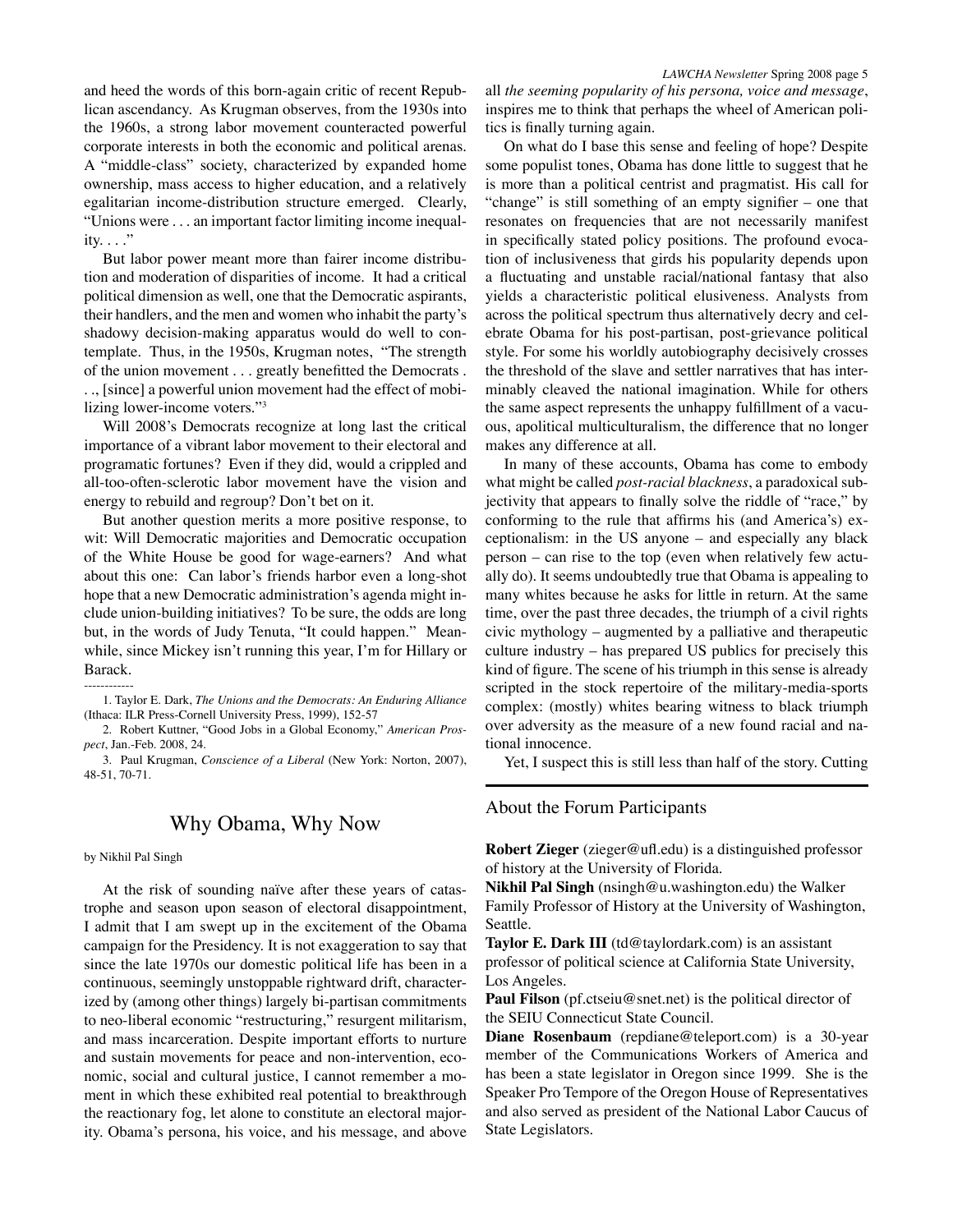and heed the words of this born-again critic of recent Republican ascendancy. As Krugman observes, from the 1930s into the 1960s, a strong labor movement counteracted powerful corporate interests in both the economic and political arenas. A "middle-class" society, characterized by expanded home ownership, mass access to higher education, and a relatively egalitarian income-distribution structure emerged. Clearly, "Unions were . . . an important factor limiting income inequality.  $\ldots$ ."

But labor power meant more than fairer income distribution and moderation of disparities of income. It had a critical political dimension as well, one that the Democratic aspirants, their handlers, and the men and women who inhabit the party's shadowy decision-making apparatus would do well to contemplate. Thus, in the 1950s, Krugman notes, "The strength of the union movement . . . greatly benefitted the Democrats . . ., [since] a powerful union movement had the effect of mobilizing lower-income voters."3

Will 2008's Democrats recognize at long last the critical importance of a vibrant labor movement to their electoral and programatic fortunes? Even if they did, would a crippled and all-too-often-sclerotic labor movement have the vision and energy to rebuild and regroup? Don't bet on it.

But another question merits a more positive response, to wit: Will Democratic majorities and Democratic occupation of the White House be good for wage-earners? And what about this one: Can labor's friends harbor even a long-shot hope that a new Democratic administration's agenda might include union-building initiatives? To be sure, the odds are long but, in the words of Judy Tenuta, "It could happen." Meanwhile, since Mickey isn't running this year, I'm for Hillary or Barack.

------------ 1. Taylor E. Dark, *The Unions and the Democrats: An Enduring Alliance* (Ithaca: ILR Press-Cornell University Press, 1999), 152-57

2. Robert Kuttner, "Good Jobs in a Global Economy," *American Prospect*, Jan.-Feb. 2008, 24.

3. Paul Krugman, *Conscience of a Liberal* (New York: Norton, 2007), 48-51, 70-71.

#### Why Obama, Why Now

#### by Nikhil Pal Singh

At the risk of sounding naïve after these years of catastrophe and season upon season of electoral disappointment, I admit that I am swept up in the excitement of the Obama campaign for the Presidency. It is not exaggeration to say that since the late 1970s our domestic political life has been in a continuous, seemingly unstoppable rightward drift, characterized by (among other things) largely bi-partisan commitments to neo-liberal economic "restructuring," resurgent militarism, and mass incarceration. Despite important efforts to nurture and sustain movements for peace and non-intervention, economic, social and cultural justice, I cannot remember a moment in which these exhibited real potential to breakthrough the reactionary fog, let alone to constitute an electoral majority. Obama's persona, his voice, and his message, and above

*LAWCHA Newsletter* Spring 2008 page 5 all *the seeming popularity of his persona, voice and message*, inspires me to think that perhaps the wheel of American politics is finally turning again.

On what do I base this sense and feeling of hope? Despite some populist tones, Obama has done little to suggest that he is more than a political centrist and pragmatist. His call for "change" is still something of an empty signifier – one that resonates on frequencies that are not necessarily manifest in specifically stated policy positions. The profound evocation of inclusiveness that girds his popularity depends upon a fluctuating and unstable racial/national fantasy that also yields a characteristic political elusiveness. Analysts from across the political spectrum thus alternatively decry and celebrate Obama for his post-partisan, post-grievance political style. For some his worldly autobiography decisively crosses the threshold of the slave and settler narratives that has interminably cleaved the national imagination. While for others the same aspect represents the unhappy fulfillment of a vacuous, apolitical multiculturalism, the difference that no longer makes any difference at all.

In many of these accounts, Obama has come to embody what might be called *post-racial blackness*, a paradoxical subjectivity that appears to finally solve the riddle of "race," by conforming to the rule that affirms his (and America's) exceptionalism: in the US anyone – and especially any black person – can rise to the top (even when relatively few actually do). It seems undoubtedly true that Obama is appealing to many whites because he asks for little in return. At the same time, over the past three decades, the triumph of a civil rights civic mythology – augmented by a palliative and therapeutic culture industry – has prepared US publics for precisely this kind of figure. The scene of his triumph in this sense is already scripted in the stock repertoire of the military-media-sports complex: (mostly) whites bearing witness to black triumph over adversity as the measure of a new found racial and national innocence.

Yet, I suspect this is still less than half of the story. Cutting

#### About the Forum Participants

**Robert Zieger** (zieger@ufl.edu) is a distinguished professor of history at the University of Florida.

**Nikhil Pal Singh** (nsingh@u.washington.edu) the Walker Family Professor of History at the University of Washington, Seattle.

**Taylor E. Dark III** (td@taylordark.com) is an assistant professor of political science at California State University, Los Angeles.

**Paul Filson** (pf.ctseiu@snet.net) is the political director of the SEIU Connecticut State Council.

**Diane Rosenbaum** (repdiane@teleport.com) is a 30-year member of the Communications Workers of America and has been a state legislator in Oregon since 1999. She is the Speaker Pro Tempore of the Oregon House of Representatives and also served as president of the National Labor Caucus of State Legislators.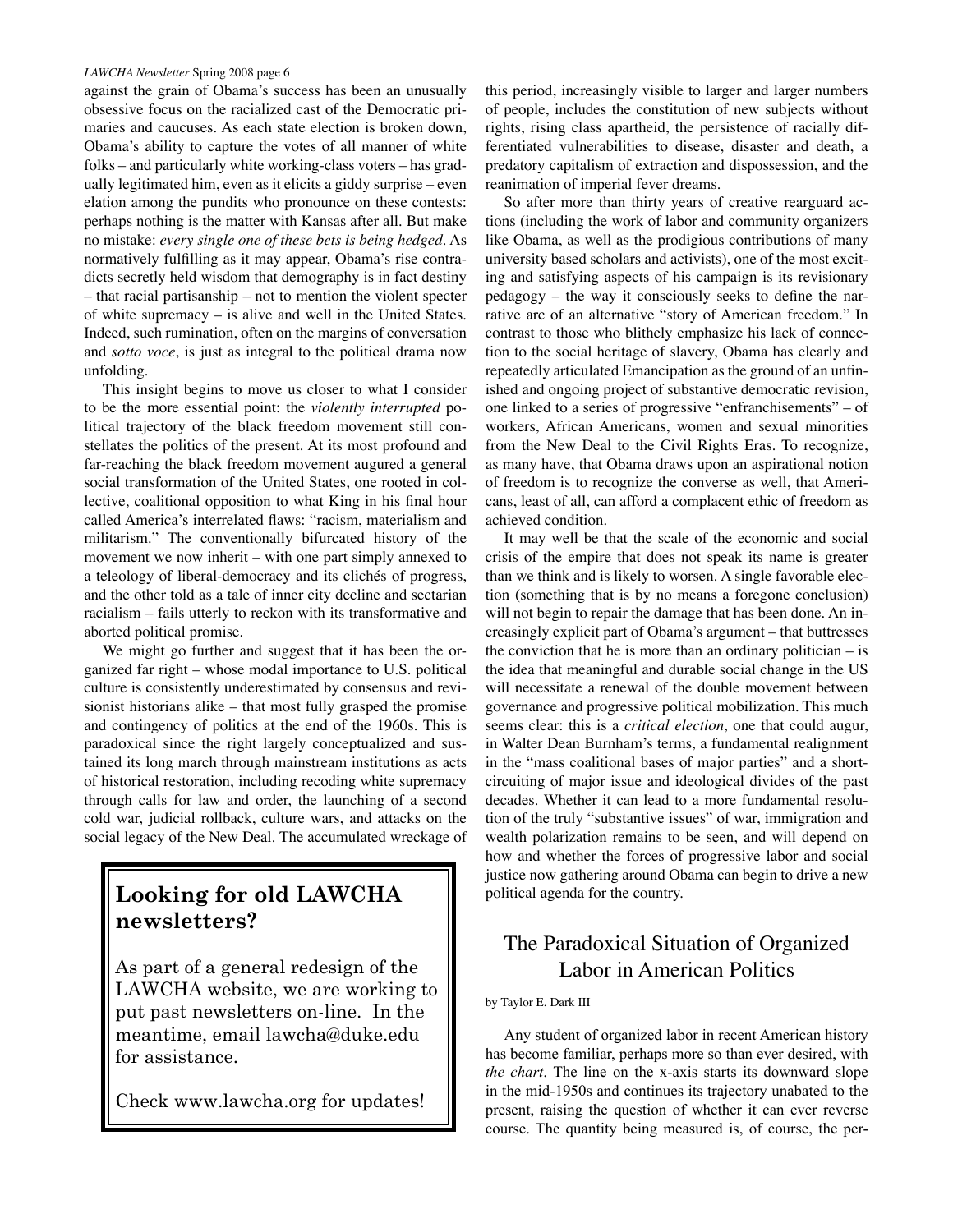against the grain of Obama's success has been an unusually obsessive focus on the racialized cast of the Democratic primaries and caucuses. As each state election is broken down, Obama's ability to capture the votes of all manner of white folks – and particularly white working-class voters – has gradually legitimated him, even as it elicits a giddy surprise – even elation among the pundits who pronounce on these contests: perhaps nothing is the matter with Kansas after all. But make no mistake: *every single one of these bets is being hedged*. As normatively fulfilling as it may appear, Obama's rise contradicts secretly held wisdom that demography is in fact destiny – that racial partisanship – not to mention the violent specter of white supremacy – is alive and well in the United States. Indeed, such rumination, often on the margins of conversation and *sotto voce*, is just as integral to the political drama now unfolding.

This insight begins to move us closer to what I consider to be the more essential point: the *violently interrupted* political trajectory of the black freedom movement still constellates the politics of the present. At its most profound and far-reaching the black freedom movement augured a general social transformation of the United States, one rooted in collective, coalitional opposition to what King in his final hour called America's interrelated flaws: "racism, materialism and militarism." The conventionally bifurcated history of the movement we now inherit – with one part simply annexed to a teleology of liberal-democracy and its clichés of progress, and the other told as a tale of inner city decline and sectarian racialism – fails utterly to reckon with its transformative and aborted political promise.

We might go further and suggest that it has been the organized far right – whose modal importance to U.S. political culture is consistently underestimated by consensus and revisionist historians alike – that most fully grasped the promise and contingency of politics at the end of the 1960s. This is paradoxical since the right largely conceptualized and sustained its long march through mainstream institutions as acts of historical restoration, including recoding white supremacy through calls for law and order, the launching of a second cold war, judicial rollback, culture wars, and attacks on the social legacy of the New Deal. The accumulated wreckage of

## **Looking for old LAWCHA newsletters?**

As part of a general redesign of the LAWCHA website, we are working to put past newsletters on-line. In the meantime, email lawcha@duke.edu for assistance.

Check www.lawcha.org for updates!

this period, increasingly visible to larger and larger numbers of people, includes the constitution of new subjects without rights, rising class apartheid, the persistence of racially differentiated vulnerabilities to disease, disaster and death, a predatory capitalism of extraction and dispossession, and the reanimation of imperial fever dreams.

So after more than thirty years of creative rearguard actions (including the work of labor and community organizers like Obama, as well as the prodigious contributions of many university based scholars and activists), one of the most exciting and satisfying aspects of his campaign is its revisionary pedagogy – the way it consciously seeks to define the narrative arc of an alternative "story of American freedom." In contrast to those who blithely emphasize his lack of connection to the social heritage of slavery, Obama has clearly and repeatedly articulated Emancipation as the ground of an unfinished and ongoing project of substantive democratic revision, one linked to a series of progressive "enfranchisements" – of workers, African Americans, women and sexual minorities from the New Deal to the Civil Rights Eras. To recognize, as many have, that Obama draws upon an aspirational notion of freedom is to recognize the converse as well, that Americans, least of all, can afford a complacent ethic of freedom as achieved condition.

It may well be that the scale of the economic and social crisis of the empire that does not speak its name is greater than we think and is likely to worsen. A single favorable election (something that is by no means a foregone conclusion) will not begin to repair the damage that has been done. An increasingly explicit part of Obama's argument – that buttresses the conviction that he is more than an ordinary politician  $-$  is the idea that meaningful and durable social change in the US will necessitate a renewal of the double movement between governance and progressive political mobilization. This much seems clear: this is a *critical election*, one that could augur, in Walter Dean Burnham's terms, a fundamental realignment in the "mass coalitional bases of major parties" and a shortcircuiting of major issue and ideological divides of the past decades. Whether it can lead to a more fundamental resolution of the truly "substantive issues" of war, immigration and wealth polarization remains to be seen, and will depend on how and whether the forces of progressive labor and social justice now gathering around Obama can begin to drive a new political agenda for the country.

## The Paradoxical Situation of Organized Labor in American Politics

#### by Taylor E. Dark III

Any student of organized labor in recent American history has become familiar, perhaps more so than ever desired, with *the chart*. The line on the x-axis starts its downward slope in the mid-1950s and continues its trajectory unabated to the present, raising the question of whether it can ever reverse course. The quantity being measured is, of course, the per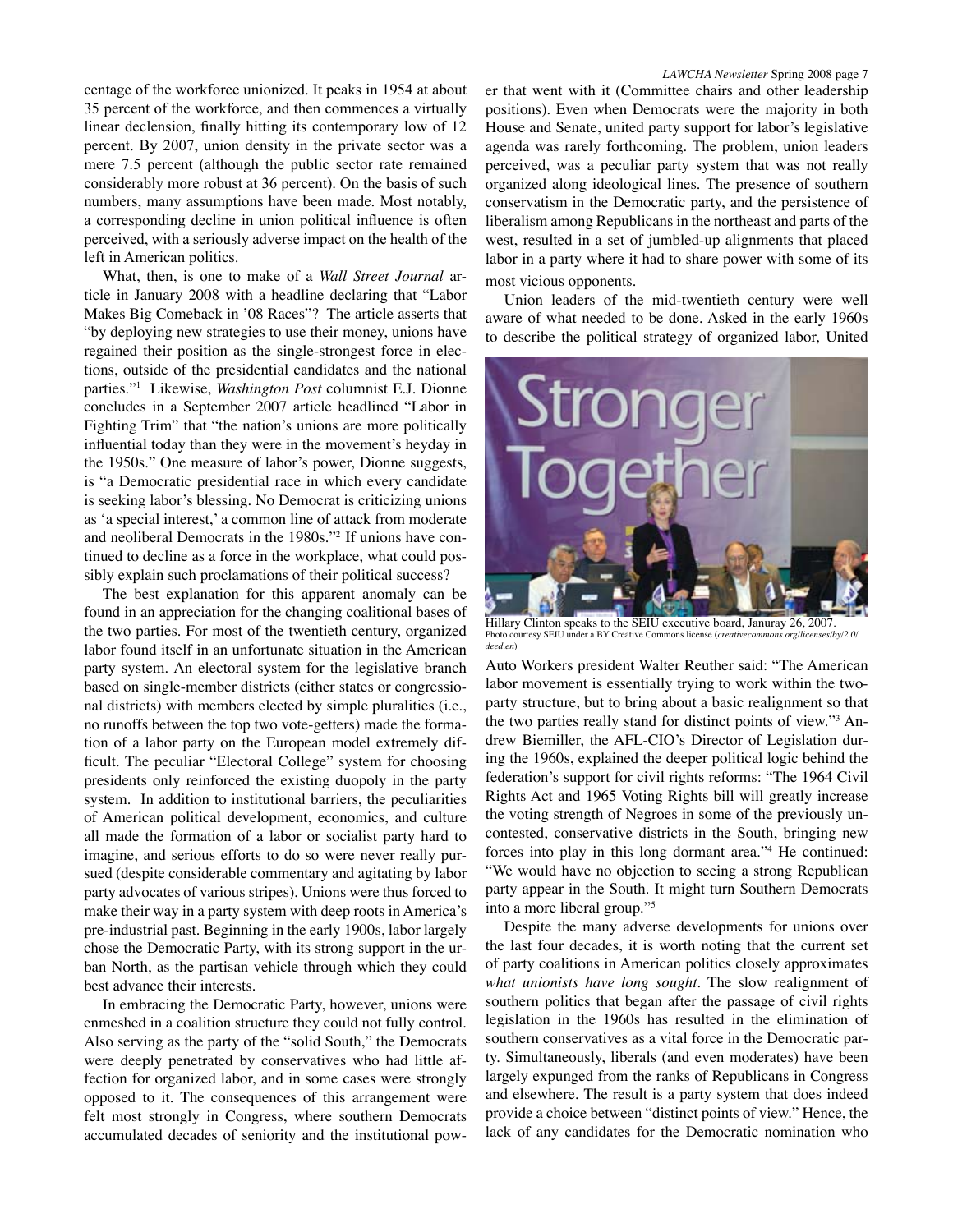centage of the workforce unionized. It peaks in 1954 at about 35 percent of the workforce, and then commences a virtually linear declension, finally hitting its contemporary low of 12 percent. By 2007, union density in the private sector was a mere 7.5 percent (although the public sector rate remained considerably more robust at 36 percent). On the basis of such numbers, many assumptions have been made. Most notably, a corresponding decline in union political influence is often perceived, with a seriously adverse impact on the health of the left in American politics.

What, then, is one to make of a *Wall Street Journal* article in January 2008 with a headline declaring that "Labor Makes Big Comeback in '08 Races"? The article asserts that "by deploying new strategies to use their money, unions have regained their position as the single-strongest force in elections, outside of the presidential candidates and the national parties."1 Likewise, *Washington Post* columnist E.J. Dionne concludes in a September 2007 article headlined "Labor in Fighting Trim" that "the nation's unions are more politically influential today than they were in the movement's heyday in the 1950s." One measure of labor's power, Dionne suggests, is "a Democratic presidential race in which every candidate is seeking labor's blessing. No Democrat is criticizing unions as 'a special interest,' a common line of attack from moderate and neoliberal Democrats in the 1980s."2 If unions have continued to decline as a force in the workplace, what could possibly explain such proclamations of their political success?

The best explanation for this apparent anomaly can be found in an appreciation for the changing coalitional bases of the two parties. For most of the twentieth century, organized labor found itself in an unfortunate situation in the American party system. An electoral system for the legislative branch based on single-member districts (either states or congressional districts) with members elected by simple pluralities (i.e., no runoffs between the top two vote-getters) made the formation of a labor party on the European model extremely difficult. The peculiar "Electoral College" system for choosing presidents only reinforced the existing duopoly in the party system. In addition to institutional barriers, the peculiarities of American political development, economics, and culture all made the formation of a labor or socialist party hard to imagine, and serious efforts to do so were never really pursued (despite considerable commentary and agitating by labor party advocates of various stripes). Unions were thus forced to make their way in a party system with deep roots in America's pre-industrial past. Beginning in the early 1900s, labor largely chose the Democratic Party, with its strong support in the urban North, as the partisan vehicle through which they could best advance their interests.

In embracing the Democratic Party, however, unions were enmeshed in a coalition structure they could not fully control. Also serving as the party of the "solid South," the Democrats were deeply penetrated by conservatives who had little affection for organized labor, and in some cases were strongly opposed to it. The consequences of this arrangement were felt most strongly in Congress, where southern Democrats accumulated decades of seniority and the institutional pow*LAWCHA Newsletter* Spring 2008 page 7

er that went with it (Committee chairs and other leadership positions). Even when Democrats were the majority in both House and Senate, united party support for labor's legislative agenda was rarely forthcoming. The problem, union leaders perceived, was a peculiar party system that was not really organized along ideological lines. The presence of southern conservatism in the Democratic party, and the persistence of liberalism among Republicans in the northeast and parts of the west, resulted in a set of jumbled-up alignments that placed labor in a party where it had to share power with some of its most vicious opponents.

Union leaders of the mid-twentieth century were well aware of what needed to be done. Asked in the early 1960s to describe the political strategy of organized labor, United



Hillary Clinton speaks to the SEIU executive board, Januray 26, 2007. Photo courtesy SEIU under a BY Creative Commons license (*creativecommons.org/licenses/by/2.0/ deed.en*)

Auto Workers president Walter Reuther said: "The American labor movement is essentially trying to work within the twoparty structure, but to bring about a basic realignment so that the two parties really stand for distinct points of view."3 Andrew Biemiller, the AFL-CIO's Director of Legislation during the 1960s, explained the deeper political logic behind the federation's support for civil rights reforms: "The 1964 Civil Rights Act and 1965 Voting Rights bill will greatly increase the voting strength of Negroes in some of the previously uncontested, conservative districts in the South, bringing new forces into play in this long dormant area."4 He continued: "We would have no objection to seeing a strong Republican party appear in the South. It might turn Southern Democrats into a more liberal group."5

Despite the many adverse developments for unions over the last four decades, it is worth noting that the current set of party coalitions in American politics closely approximates *what unionists have long sought*. The slow realignment of southern politics that began after the passage of civil rights legislation in the 1960s has resulted in the elimination of southern conservatives as a vital force in the Democratic party. Simultaneously, liberals (and even moderates) have been largely expunged from the ranks of Republicans in Congress and elsewhere. The result is a party system that does indeed provide a choice between "distinct points of view." Hence, the lack of any candidates for the Democratic nomination who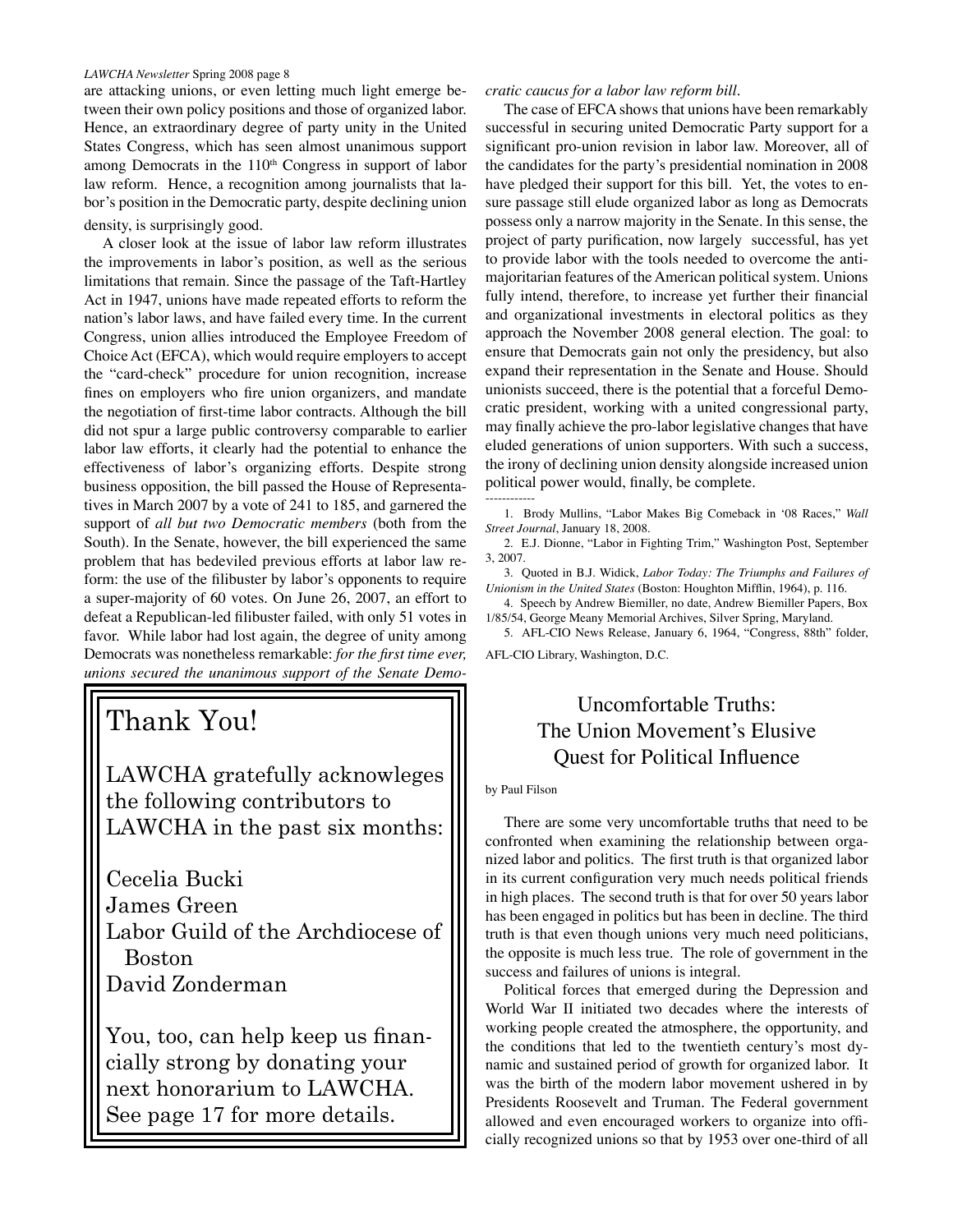are attacking unions, or even letting much light emerge between their own policy positions and those of organized labor. Hence, an extraordinary degree of party unity in the United States Congress, which has seen almost unanimous support among Democrats in the 110<sup>th</sup> Congress in support of labor law reform. Hence, a recognition among journalists that labor's position in the Democratic party, despite declining union density, is surprisingly good.

A closer look at the issue of labor law reform illustrates the improvements in labor's position, as well as the serious limitations that remain. Since the passage of the Taft-Hartley Act in 1947, unions have made repeated efforts to reform the nation's labor laws, and have failed every time. In the current Congress, union allies introduced the Employee Freedom of Choice Act (EFCA), which would require employers to accept the "card-check" procedure for union recognition, increase fines on employers who fire union organizers, and mandate the negotiation of first-time labor contracts. Although the bill did not spur a large public controversy comparable to earlier labor law efforts, it clearly had the potential to enhance the effectiveness of labor's organizing efforts. Despite strong business opposition, the bill passed the House of Representatives in March 2007 by a vote of 241 to 185, and garnered the support of *all but two Democratic members* (both from the South). In the Senate, however, the bill experienced the same problem that has bedeviled previous efforts at labor law reform: the use of the filibuster by labor's opponents to require a super-majority of 60 votes. On June 26, 2007, an effort to defeat a Republican-led filibuster failed, with only 51 votes in favor. While labor had lost again, the degree of unity among Democrats was nonetheless remarkable: *for the first time ever, unions secured the unanimous support of the Senate Demo-*

## Thank You!

LAWCHA gratefully acknowleges the following contributors to LAWCHA in the past six months:

Cecelia Bucki James Green Labor Guild of the Archdiocese of Boston David Zonderman

You, too, can help keep us financially strong by donating your next honorarium to LAWCHA. See page 17 for more details.

#### *cratic caucus for a labor law reform bill*.

The case of EFCA shows that unions have been remarkably successful in securing united Democratic Party support for a significant pro-union revision in labor law. Moreover, all of the candidates for the party's presidential nomination in 2008 have pledged their support for this bill. Yet, the votes to ensure passage still elude organized labor as long as Democrats possess only a narrow majority in the Senate. In this sense, the project of party purification, now largely successful, has yet to provide labor with the tools needed to overcome the antimajoritarian features of the American political system. Unions fully intend, therefore, to increase yet further their financial and organizational investments in electoral politics as they approach the November 2008 general election. The goal: to ensure that Democrats gain not only the presidency, but also expand their representation in the Senate and House. Should unionists succeed, there is the potential that a forceful Democratic president, working with a united congressional party, may finally achieve the pro-labor legislative changes that have eluded generations of union supporters. With such a success, the irony of declining union density alongside increased union political power would, finally, be complete.

1. Brody Mullins, "Labor Makes Big Comeback in '08 Races," *Wall Street Journal*, January 18, 2008.

2. E.J. Dionne, "Labor in Fighting Trim," Washington Post, September 3, 2007.

3. Quoted in B.J. Widick, *Labor Today: The Triumphs and Failures of Unionism in the United States* (Boston: Houghton Mifflin, 1964), p. 116.

4. Speech by Andrew Biemiller, no date, Andrew Biemiller Papers, Box 1/85/54, George Meany Memorial Archives, Silver Spring, Maryland.

5. AFL-CIO News Release, January 6, 1964, "Congress, 88th" folder, AFL-CIO Library, Washington, D.C.

## Uncomfortable Truths: The Union Movement's Elusive Quest for Political Influence

#### by Paul Filson

------------

There are some very uncomfortable truths that need to be confronted when examining the relationship between organized labor and politics. The first truth is that organized labor in its current configuration very much needs political friends in high places. The second truth is that for over 50 years labor has been engaged in politics but has been in decline. The third truth is that even though unions very much need politicians, the opposite is much less true. The role of government in the success and failures of unions is integral.

Political forces that emerged during the Depression and World War II initiated two decades where the interests of working people created the atmosphere, the opportunity, and the conditions that led to the twentieth century's most dynamic and sustained period of growth for organized labor. It was the birth of the modern labor movement ushered in by Presidents Roosevelt and Truman. The Federal government allowed and even encouraged workers to organize into officially recognized unions so that by 1953 over one-third of all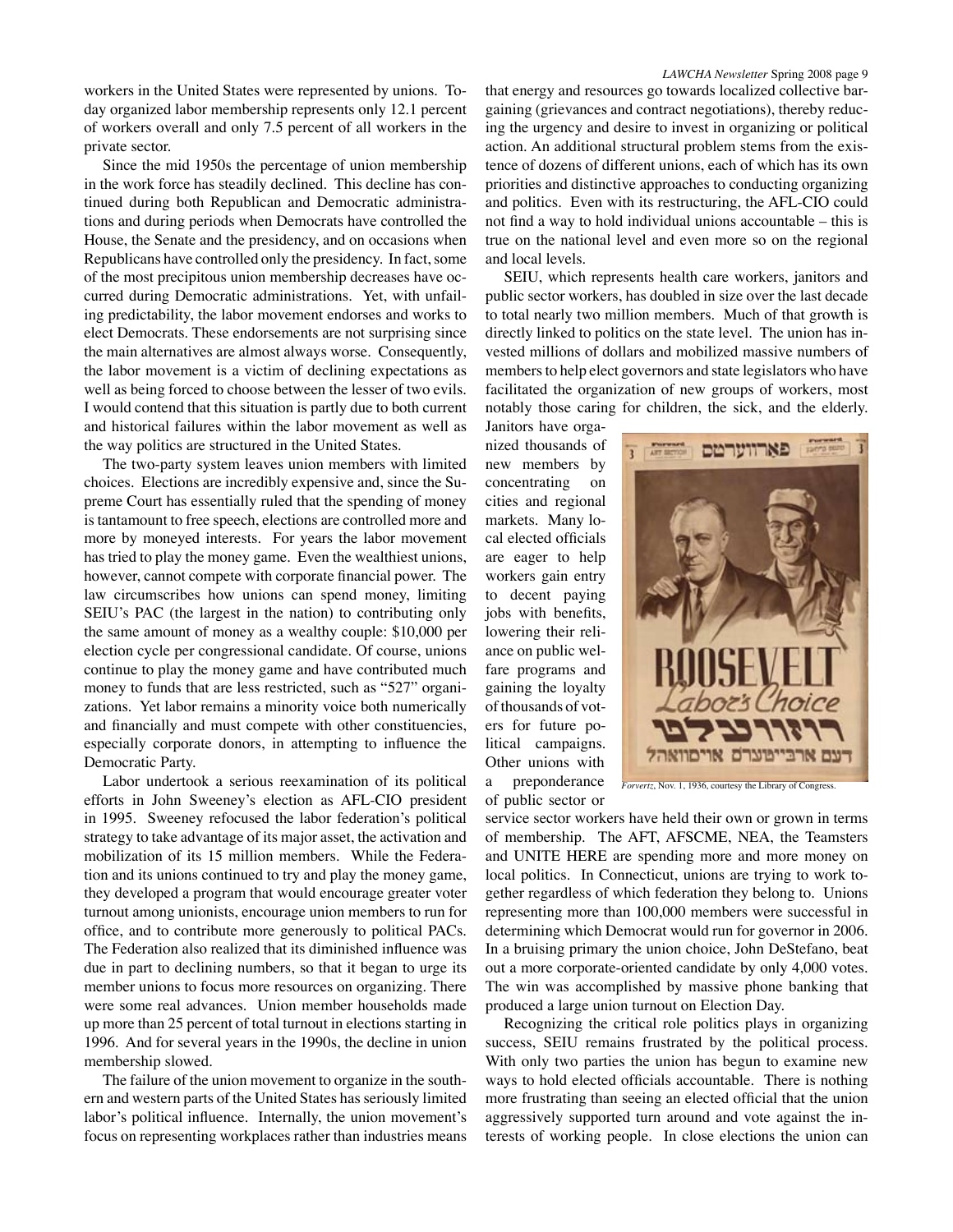workers in the United States were represented by unions. Today organized labor membership represents only 12.1 percent of workers overall and only 7.5 percent of all workers in the private sector.

Since the mid 1950s the percentage of union membership in the work force has steadily declined. This decline has continued during both Republican and Democratic administrations and during periods when Democrats have controlled the House, the Senate and the presidency, and on occasions when Republicans have controlled only the presidency. In fact, some of the most precipitous union membership decreases have occurred during Democratic administrations. Yet, with unfailing predictability, the labor movement endorses and works to elect Democrats. These endorsements are not surprising since the main alternatives are almost always worse. Consequently, the labor movement is a victim of declining expectations as well as being forced to choose between the lesser of two evils. I would contend that this situation is partly due to both current and historical failures within the labor movement as well as the way politics are structured in the United States.

The two-party system leaves union members with limited choices. Elections are incredibly expensive and, since the Supreme Court has essentially ruled that the spending of money is tantamount to free speech, elections are controlled more and more by moneyed interests. For years the labor movement has tried to play the money game. Even the wealthiest unions, however, cannot compete with corporate financial power. The law circumscribes how unions can spend money, limiting SEIU's PAC (the largest in the nation) to contributing only the same amount of money as a wealthy couple: \$10,000 per election cycle per congressional candidate. Of course, unions continue to play the money game and have contributed much money to funds that are less restricted, such as "527" organizations. Yet labor remains a minority voice both numerically and financially and must compete with other constituencies, especially corporate donors, in attempting to influence the Democratic Party.

Labor undertook a serious reexamination of its political efforts in John Sweeney's election as AFL-CIO president in 1995. Sweeney refocused the labor federation's political strategy to take advantage of its major asset, the activation and mobilization of its 15 million members. While the Federation and its unions continued to try and play the money game, they developed a program that would encourage greater voter turnout among unionists, encourage union members to run for office, and to contribute more generously to political PACs. The Federation also realized that its diminished influence was due in part to declining numbers, so that it began to urge its member unions to focus more resources on organizing. There were some real advances. Union member households made up more than 25 percent of total turnout in elections starting in 1996. And for several years in the 1990s, the decline in union membership slowed.

The failure of the union movement to organize in the southern and western parts of the United States has seriously limited labor's political influence. Internally, the union movement's focus on representing workplaces rather than industries means

that energy and resources go towards localized collective bargaining (grievances and contract negotiations), thereby reducing the urgency and desire to invest in organizing or political action. An additional structural problem stems from the existence of dozens of different unions, each of which has its own priorities and distinctive approaches to conducting organizing and politics. Even with its restructuring, the AFL-CIO could not find a way to hold individual unions accountable – this is true on the national level and even more so on the regional and local levels.

SEIU, which represents health care workers, janitors and public sector workers, has doubled in size over the last decade to total nearly two million members. Much of that growth is directly linked to politics on the state level. The union has invested millions of dollars and mobilized massive numbers of members to help elect governors and state legislators who have facilitated the organization of new groups of workers, most notably those caring for children, the sick, and the elderly.

Janitors have organized thousands of new members by concentrating on cities and regional markets. Many local elected officials are eager to help workers gain entry to decent paying jobs with benefits, lowering their reliance on public welfare programs and gaining the loyalty of thousands of voters for future political campaigns. Other unions with a preponderance of public sector or



*Forvertz*, Nov. 1, 1936, courtesy the Library of Congress.

service sector workers have held their own or grown in terms of membership. The AFT, AFSCME, NEA, the Teamsters and UNITE HERE are spending more and more money on local politics. In Connecticut, unions are trying to work together regardless of which federation they belong to. Unions representing more than 100,000 members were successful in determining which Democrat would run for governor in 2006. In a bruising primary the union choice, John DeStefano, beat out a more corporate-oriented candidate by only 4,000 votes. The win was accomplished by massive phone banking that produced a large union turnout on Election Day.

Recognizing the critical role politics plays in organizing success, SEIU remains frustrated by the political process. With only two parties the union has begun to examine new ways to hold elected officials accountable. There is nothing more frustrating than seeing an elected official that the union aggressively supported turn around and vote against the interests of working people. In close elections the union can

#### *LAWCHA Newsletter* Spring 2008 page 9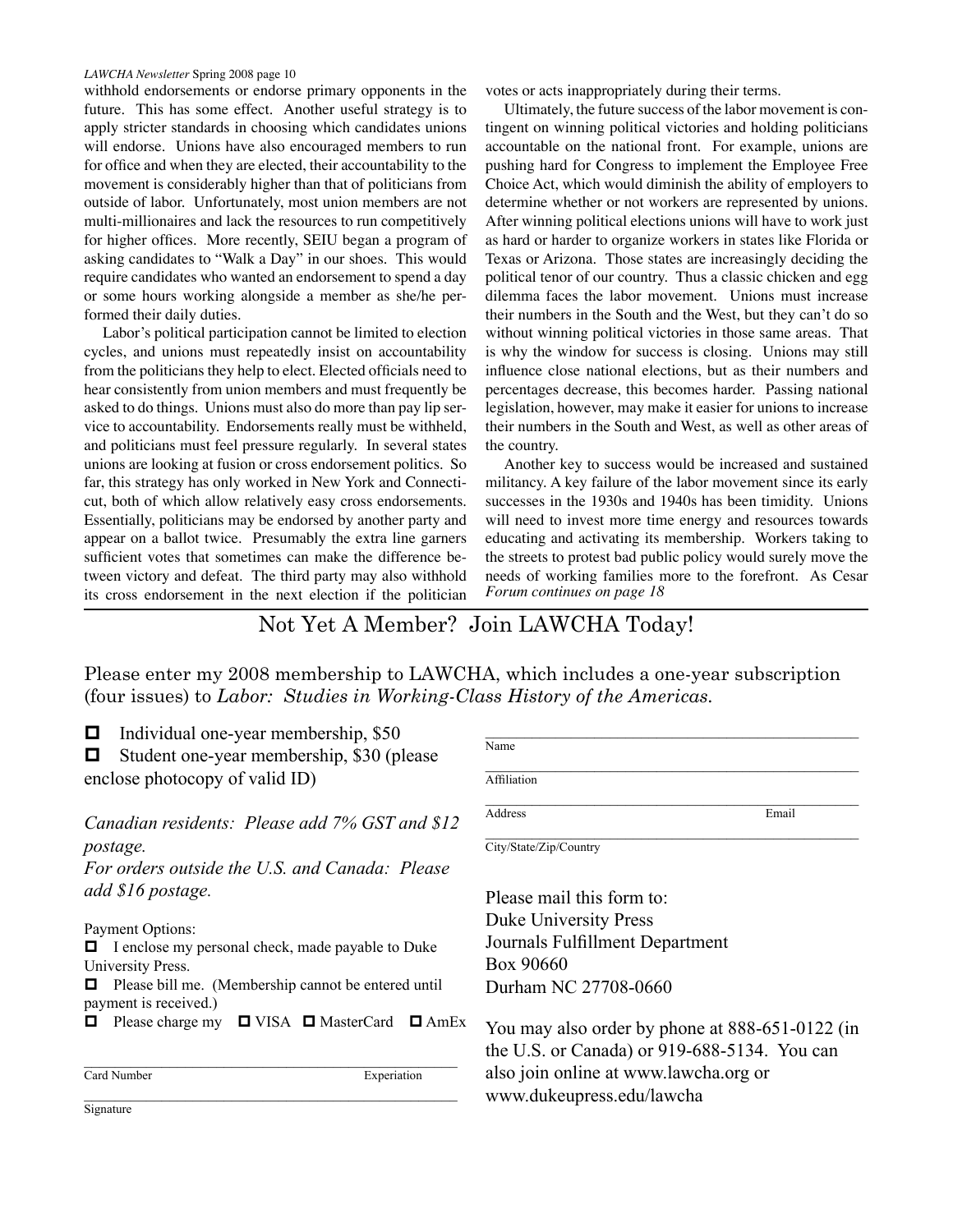withhold endorsements or endorse primary opponents in the future. This has some effect. Another useful strategy is to apply stricter standards in choosing which candidates unions will endorse. Unions have also encouraged members to run for office and when they are elected, their accountability to the movement is considerably higher than that of politicians from outside of labor. Unfortunately, most union members are not multi-millionaires and lack the resources to run competitively for higher offices. More recently, SEIU began a program of asking candidates to "Walk a Day" in our shoes. This would require candidates who wanted an endorsement to spend a day or some hours working alongside a member as she/he performed their daily duties.

Labor's political participation cannot be limited to election cycles, and unions must repeatedly insist on accountability from the politicians they help to elect. Elected officials need to hear consistently from union members and must frequently be asked to do things. Unions must also do more than pay lip service to accountability. Endorsements really must be withheld, and politicians must feel pressure regularly. In several states unions are looking at fusion or cross endorsement politics. So far, this strategy has only worked in New York and Connecticut, both of which allow relatively easy cross endorsements. Essentially, politicians may be endorsed by another party and appear on a ballot twice. Presumably the extra line garners sufficient votes that sometimes can make the difference between victory and defeat. The third party may also withhold its cross endorsement in the next election if the politician

votes or acts inappropriately during their terms.

Ultimately, the future success of the labor movement is contingent on winning political victories and holding politicians accountable on the national front. For example, unions are pushing hard for Congress to implement the Employee Free Choice Act, which would diminish the ability of employers to determine whether or not workers are represented by unions. After winning political elections unions will have to work just as hard or harder to organize workers in states like Florida or Texas or Arizona. Those states are increasingly deciding the political tenor of our country. Thus a classic chicken and egg dilemma faces the labor movement. Unions must increase their numbers in the South and the West, but they can't do so without winning political victories in those same areas. That is why the window for success is closing. Unions may still influence close national elections, but as their numbers and percentages decrease, this becomes harder. Passing national legislation, however, may make it easier for unions to increase their numbers in the South and West, as well as other areas of the country.

Another key to success would be increased and sustained militancy. A key failure of the labor movement since its early successes in the 1930s and 1940s has been timidity. Unions will need to invest more time energy and resources towards educating and activating its membership. Workers taking to the streets to protest bad public policy would surely move the needs of working families more to the forefront. As Cesar *Forum continues on page 18*

Not Yet A Member? Join LAWCHA Today!

Please enter my 2008 membership to LAWCHA, which includes a one-year subscription (four issues) to *Labor: Studies in Working-Class History of the Americas.*

 $\Box$  Individual one-year membership, \$50

 $\Box$  Student one-year membership, \$30 (please enclose photocopy of valid ID)

*Canadian residents: Please add 7% GST and \$12 postage.*

*For orders outside the U.S. and Canada: Please add \$16 postage.*

Payment Options:

 $\Box$  I enclose my personal check, made payable to Duke University Press.

 $\Box$  Please bill me. (Membership cannot be entered until payment is received.)

 $\Box$  Please charge my  $\Box$  VISA  $\Box$  MasterCard  $\Box$  AmEx

 $\mathcal{L}_\text{max}$  and the contract of the contract of the contract of the contract of the contract of the contract of the contract of the contract of the contract of the contract of the contract of the contract of the contrac

 $\mathcal{L}_\text{max}$  and  $\mathcal{L}_\text{max}$  and  $\mathcal{L}_\text{max}$  and  $\mathcal{L}_\text{max}$  and  $\mathcal{L}_\text{max}$ Card Number Experiation

Name  $\mathcal{L}_\text{max}$  and the contract of the contract of the contract of the contract of the contract of the contract of the contract of the contract of the contract of the contract of the contract of the contract of the contrac **Affiliation**  $\mathcal{L}_\text{max}$  and  $\mathcal{L}_\text{max}$  and  $\mathcal{L}_\text{max}$  and  $\mathcal{L}_\text{max}$  and  $\mathcal{L}_\text{max}$ Address Email City/State/Zip/Country

Please mail this form to: Duke University Press Journals Fulfillment Department Box 90660 Durham NC 27708-0660

You may also order by phone at 888-651-0122 (in the U.S. or Canada) or 919-688-5134. You can also join online at www.lawcha.org or www.dukeupress.edu/lawcha

**Signature**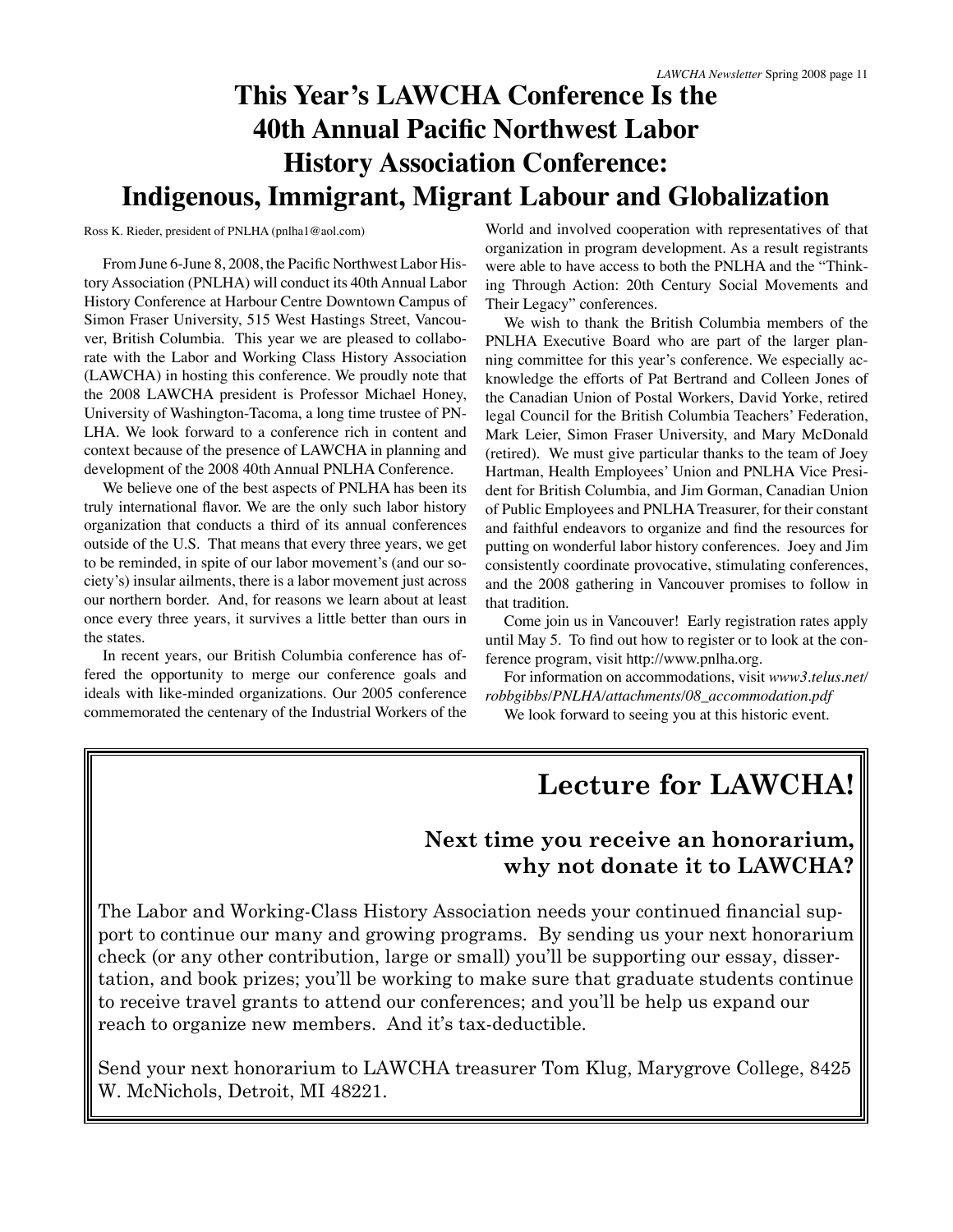## **This Year's LAWCHA Conference Is the 40th Annual Pacific Northwest Labor History Association Conference: Indigenous, Immigrant, Migrant Labour and Globalization**

Ross K. Rieder, president of PNLHA (pnlha1@aol.com)

From June 6-June 8, 2008, the Pacific Northwest Labor History Association (PNLHA) will conduct its 40th Annual Labor History Conference at Harbour Centre Downtown Campus of Simon Fraser University, 515 West Hastings Street, Vancouver, British Columbia. This year we are pleased to collaborate with the Labor and Working Class History Association (LAWCHA) in hosting this conference. We proudly note that the 2008 LAWCHA president is Professor Michael Honey, University of Washington-Tacoma, a long time trustee of PN-LHA. We look forward to a conference rich in content and context because of the presence of LAWCHA in planning and development of the 2008 40th Annual PNLHA Conference.

We believe one of the best aspects of PNLHA has been its truly international flavor. We are the only such labor history organization that conducts a third of its annual conferences outside of the U.S. That means that every three years, we get to be reminded, in spite of our labor movement's (and our society's) insular ailments, there is a labor movement just across our northern border. And, for reasons we learn about at least once every three years, it survives a little better than ours in the states.

In recent years, our British Columbia conference has offered the opportunity to merge our conference goals and ideals with like-minded organizations. Our 2005 conference commemorated the centenary of the Industrial Workers of the

World and involved cooperation with representatives of that organization in program development. As a result registrants were able to have access to both the PNLHA and the "Thinking Through Action: 20th Century Social Movements and Their Legacy" conferences.

We wish to thank the British Columbia members of the PNLHA Executive Board who are part of the larger planning committee for this year's conference. We especially acknowledge the efforts of Pat Bertrand and Colleen Jones of the Canadian Union of Postal Workers, David Yorke, retired legal Council for the British Columbia Teachers' Federation, Mark Leier, Simon Fraser University, and Mary McDonald (retired). We must give particular thanks to the team of Joey Hartman, Health Employees' Union and PNLHA Vice President for British Columbia, and Jim Gorman, Canadian Union of Public Employees and PNLHA Treasurer, for their constant and faithful endeavors to organize and find the resources for putting on wonderful labor history conferences. Joey and Jim consistently coordinate provocative, stimulating conferences, and the 2008 gathering in Vancouver promises to follow in that tradition.

Come join us in Vancouver! Early registration rates apply until May 5. To find out how to register or to look at the conference program, visit http://www.pnlha.org.

For information on accommodations, visit *www3.telus.net/ robbgibbs/PNLHA/attachments/08\_accommodation.pdf* We look forward to seeing you at this historic event.

## **Lecture for LAWCHA!**

## **Next time you receive an honorarium, why not donate it to LAWCHA?**

The Labor and Working-Class History Association needs your continued financial support to continue our many and growing programs. By sending us your next honorarium check (or any other contribution, large or small) you'll be supporting our essay, dissertation, and book prizes; you'll be working to make sure that graduate students continue to receive travel grants to attend our conferences; and you'll be help us expand our reach to organize new members. And it's tax-deductible.

Send your next honorarium to LAWCHA treasurer Tom Klug, Marygrove College, 8425 W. McNichols, Detroit, MI 48221.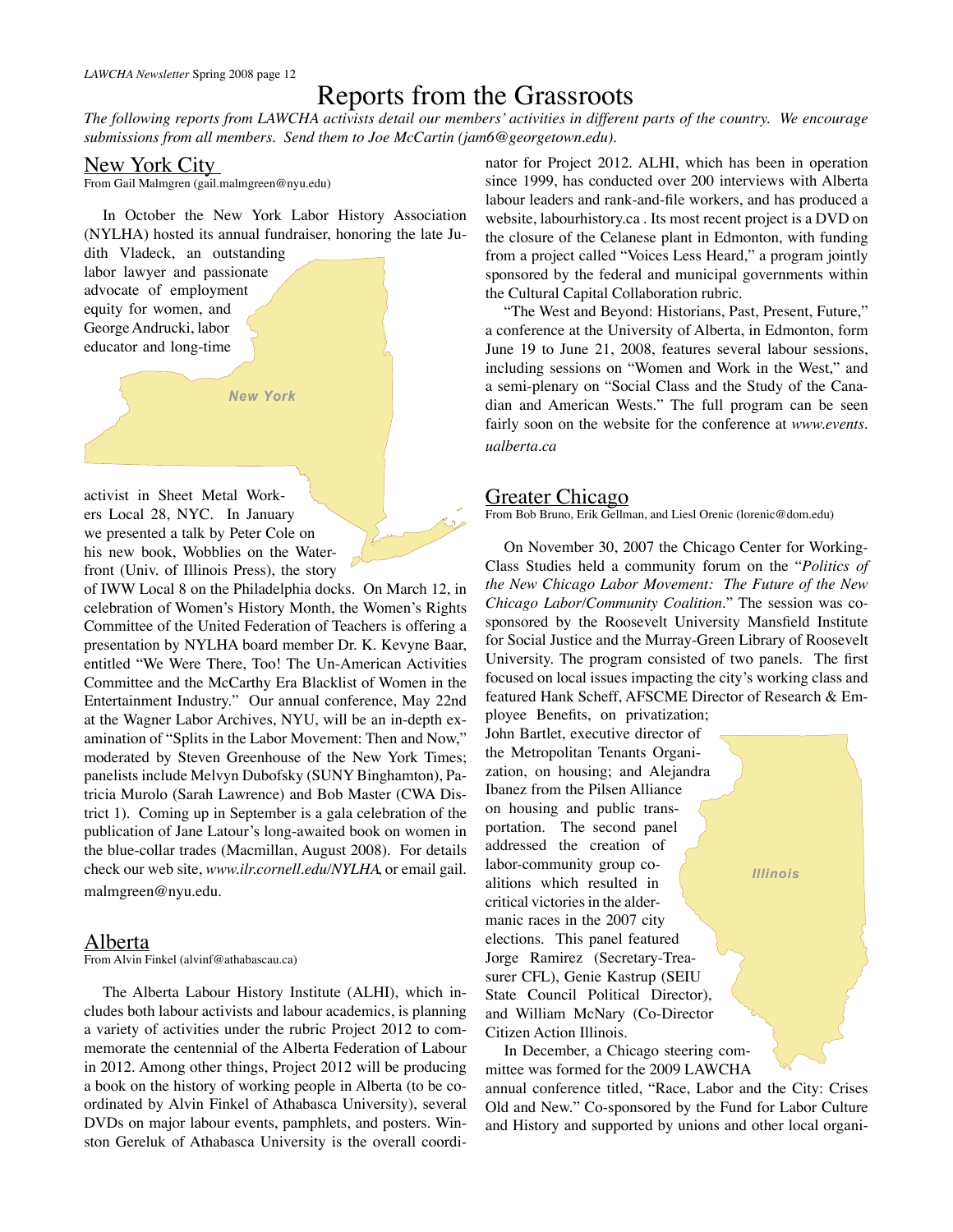## Reports from the Grassroots

*The following reports from LAWCHA activists detail our members' activities in different parts of the country. We encourage submissions from all members. Send them to Joe McCartin (jam6@georgetown.edu).*

#### New York City

From Gail Malmgren (gail.malmgreen@nyu.edu)

In October the New York Labor History Association (NYLHA) hosted its annual fundraiser, honoring the late Ju-

*New York*

dith Vladeck, an outstanding labor lawyer and passionate advocate of employment equity for women, and George Andrucki, labor educator and long-time

activist in Sheet Metal Workers Local 28, NYC. In January we presented a talk by Peter Cole on his new book, Wobblies on the Waterfront (Univ. of Illinois Press), the story

of IWW Local 8 on the Philadelphia docks. On March 12, in celebration of Women's History Month, the Women's Rights Committee of the United Federation of Teachers is offering a presentation by NYLHA board member Dr. K. Kevyne Baar, entitled "We Were There, Too! The Un-American Activities Committee and the McCarthy Era Blacklist of Women in the Entertainment Industry." Our annual conference, May 22nd at the Wagner Labor Archives, NYU, will be an in-depth examination of "Splits in the Labor Movement: Then and Now," moderated by Steven Greenhouse of the New York Times; panelists include Melvyn Dubofsky (SUNY Binghamton), Patricia Murolo (Sarah Lawrence) and Bob Master (CWA District 1). Coming up in September is a gala celebration of the publication of Jane Latour's long-awaited book on women in the blue-collar trades (Macmillan, August 2008). For details check our web site, *www.ilr.cornell.edu/NYLHA*, or email gail. malmgreen@nyu.edu.

#### Alberta

From Alvin Finkel (alvinf@athabascau.ca)

The Alberta Labour History Institute (ALHI), which includes both labour activists and labour academics, is planning a variety of activities under the rubric Project 2012 to commemorate the centennial of the Alberta Federation of Labour in 2012. Among other things, Project 2012 will be producing a book on the history of working people in Alberta (to be coordinated by Alvin Finkel of Athabasca University), several DVDs on major labour events, pamphlets, and posters. Winston Gereluk of Athabasca University is the overall coordinator for Project 2012. ALHI, which has been in operation since 1999, has conducted over 200 interviews with Alberta labour leaders and rank-and-file workers, and has produced a website, labourhistory.ca . Its most recent project is a DVD on the closure of the Celanese plant in Edmonton, with funding from a project called "Voices Less Heard," a program jointly sponsored by the federal and municipal governments within the Cultural Capital Collaboration rubric.

"The West and Beyond: Historians, Past, Present, Future," a conference at the University of Alberta, in Edmonton, form June 19 to June 21, 2008, features several labour sessions, including sessions on "Women and Work in the West," and a semi-plenary on "Social Class and the Study of the Canadian and American Wests." The full program can be seen fairly soon on the website for the conference at *www.events. ualberta.ca*

#### Greater Chicago

From Bob Bruno, Erik Gellman, and Liesl Orenic (lorenic@dom.edu)

On November 30, 2007 the Chicago Center for Working-Class Studies held a community forum on the "*Politics of the New Chicago Labor Movement: The Future of the New Chicago Labor/Community Coalition.*" The session was cosponsored by the Roosevelt University Mansfield Institute for Social Justice and the Murray-Green Library of Roosevelt University. The program consisted of two panels. The first focused on local issues impacting the city's working class and featured Hank Scheff, AFSCME Director of Research & Em-

ployee Benefits, on privatization; John Bartlet, executive director of the Metropolitan Tenants Organization, on housing; and Alejandra Ibanez from the Pilsen Alliance on housing and public transportation. The second panel addressed the creation of labor-community group coalitions which resulted in critical victories in the aldermanic races in the 2007 city elections. This panel featured Jorge Ramirez (Secretary-Treasurer CFL), Genie Kastrup (SEIU State Council Political Director), and William McNary (Co-Director Citizen Action Illinois.

In December, a Chicago steering committee was formed for the 2009 LAWCHA annual conference titled, "Race, Labor and the City: Crises Old and New." Co-sponsored by the Fund for Labor Culture and History and supported by unions and other local organi-

*Illinois*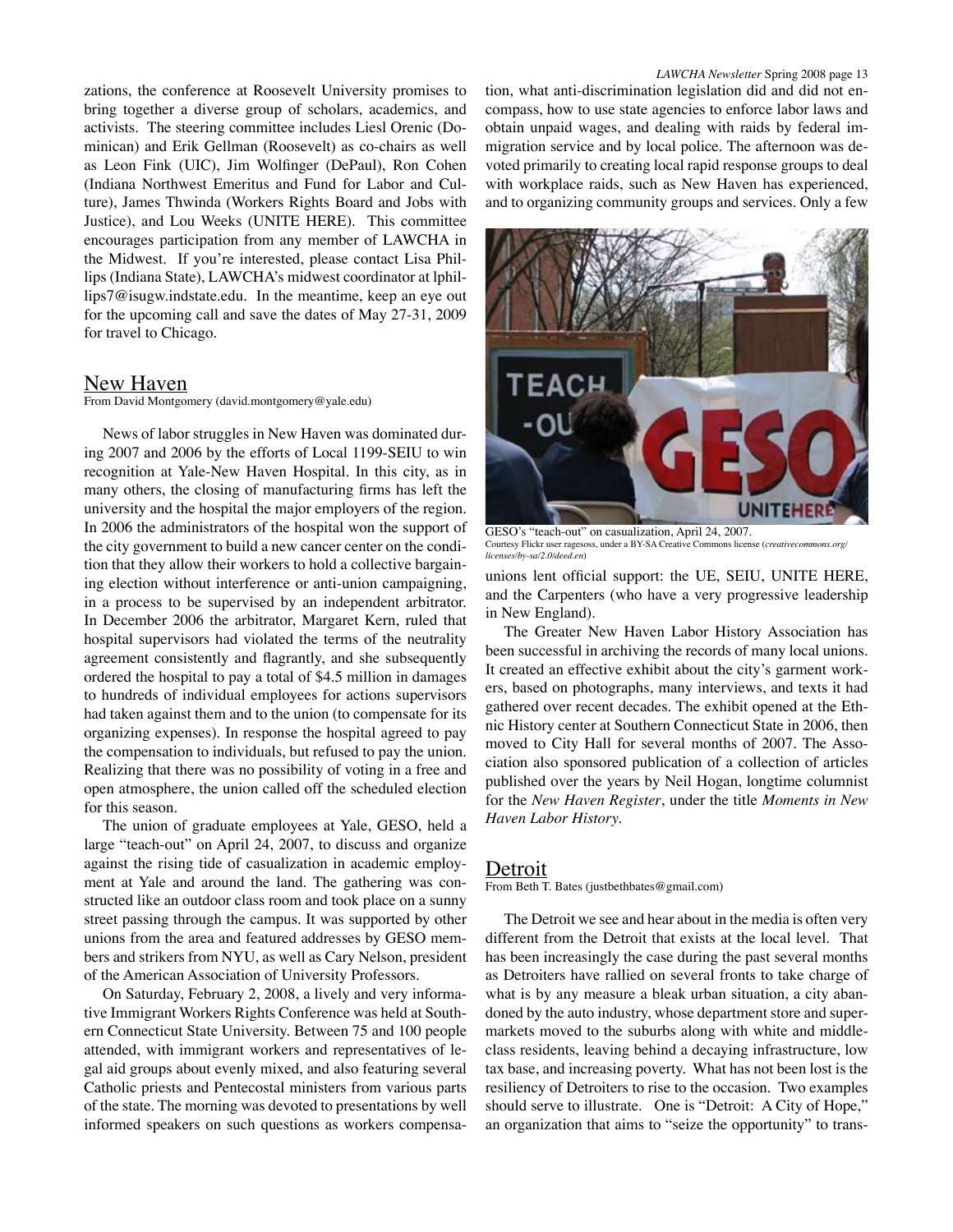zations, the conference at Roosevelt University promises to bring together a diverse group of scholars, academics, and activists. The steering committee includes Liesl Orenic (Dominican) and Erik Gellman (Roosevelt) as co-chairs as well as Leon Fink (UIC), Jim Wolfinger (DePaul), Ron Cohen (Indiana Northwest Emeritus and Fund for Labor and Culture), James Thwinda (Workers Rights Board and Jobs with Justice), and Lou Weeks (UNITE HERE). This committee encourages participation from any member of LAWCHA in the Midwest. If you're interested, please contact Lisa Phillips (Indiana State), LAWCHA's midwest coordinator at lphillips7@isugw.indstate.edu. In the meantime, keep an eye out for the upcoming call and save the dates of May 27-31, 2009 for travel to Chicago.

#### New Haven

From David Montgomery (david.montgomery@yale.edu)

News of labor struggles in New Haven was dominated during 2007 and 2006 by the efforts of Local 1199-SEIU to win recognition at Yale-New Haven Hospital. In this city, as in many others, the closing of manufacturing firms has left the university and the hospital the major employers of the region. In 2006 the administrators of the hospital won the support of the city government to build a new cancer center on the condition that they allow their workers to hold a collective bargaining election without interference or anti-union campaigning, in a process to be supervised by an independent arbitrator. In December 2006 the arbitrator, Margaret Kern, ruled that hospital supervisors had violated the terms of the neutrality agreement consistently and flagrantly, and she subsequently ordered the hospital to pay a total of \$4.5 million in damages to hundreds of individual employees for actions supervisors had taken against them and to the union (to compensate for its organizing expenses). In response the hospital agreed to pay the compensation to individuals, but refused to pay the union. Realizing that there was no possibility of voting in a free and open atmosphere, the union called off the scheduled election for this season.

The union of graduate employees at Yale, GESO, held a large "teach-out" on April 24, 2007, to discuss and organize against the rising tide of casualization in academic employment at Yale and around the land. The gathering was constructed like an outdoor class room and took place on a sunny street passing through the campus. It was supported by other unions from the area and featured addresses by GESO members and strikers from NYU, as well as Cary Nelson, president of the American Association of University Professors.

On Saturday, February 2, 2008, a lively and very informative Immigrant Workers Rights Conference was held at Southern Connecticut State University. Between 75 and 100 people attended, with immigrant workers and representatives of legal aid groups about evenly mixed, and also featuring several Catholic priests and Pentecostal ministers from various parts of the state. The morning was devoted to presentations by well informed speakers on such questions as workers compensation, what anti-discrimination legislation did and did not encompass, how to use state agencies to enforce labor laws and obtain unpaid wages, and dealing with raids by federal immigration service and by local police. The afternoon was devoted primarily to creating local rapid response groups to deal with workplace raids, such as New Haven has experienced, and to organizing community groups and services. Only a few



GESO's "teach-out" on casualization, April 24, 2007.<br>Courtesy Flickr user ragesoss, under a BY-SA Creative Commons licen under a BY-SA Creative Commons license (*creativecommons.org*/ *licenses/by-sa/2.0/deed.en*)

unions lent official support: the UE, SEIU, UNITE HERE, and the Carpenters (who have a very progressive leadership in New England).

The Greater New Haven Labor History Association has been successful in archiving the records of many local unions. It created an effective exhibit about the city's garment workers, based on photographs, many interviews, and texts it had gathered over recent decades. The exhibit opened at the Ethnic History center at Southern Connecticut State in 2006, then moved to City Hall for several months of 2007. The Association also sponsored publication of a collection of articles published over the years by Neil Hogan, longtime columnist for the *New Haven Register*, under the title *Moments in New Haven Labor History*.

#### Detroit

From Beth T. Bates (justbethbates@gmail.com)

The Detroit we see and hear about in the media is often very different from the Detroit that exists at the local level. That has been increasingly the case during the past several months as Detroiters have rallied on several fronts to take charge of what is by any measure a bleak urban situation, a city abandoned by the auto industry, whose department store and supermarkets moved to the suburbs along with white and middleclass residents, leaving behind a decaying infrastructure, low tax base, and increasing poverty. What has not been lost is the resiliency of Detroiters to rise to the occasion. Two examples should serve to illustrate. One is "Detroit: A City of Hope," an organization that aims to "seize the opportunity" to trans-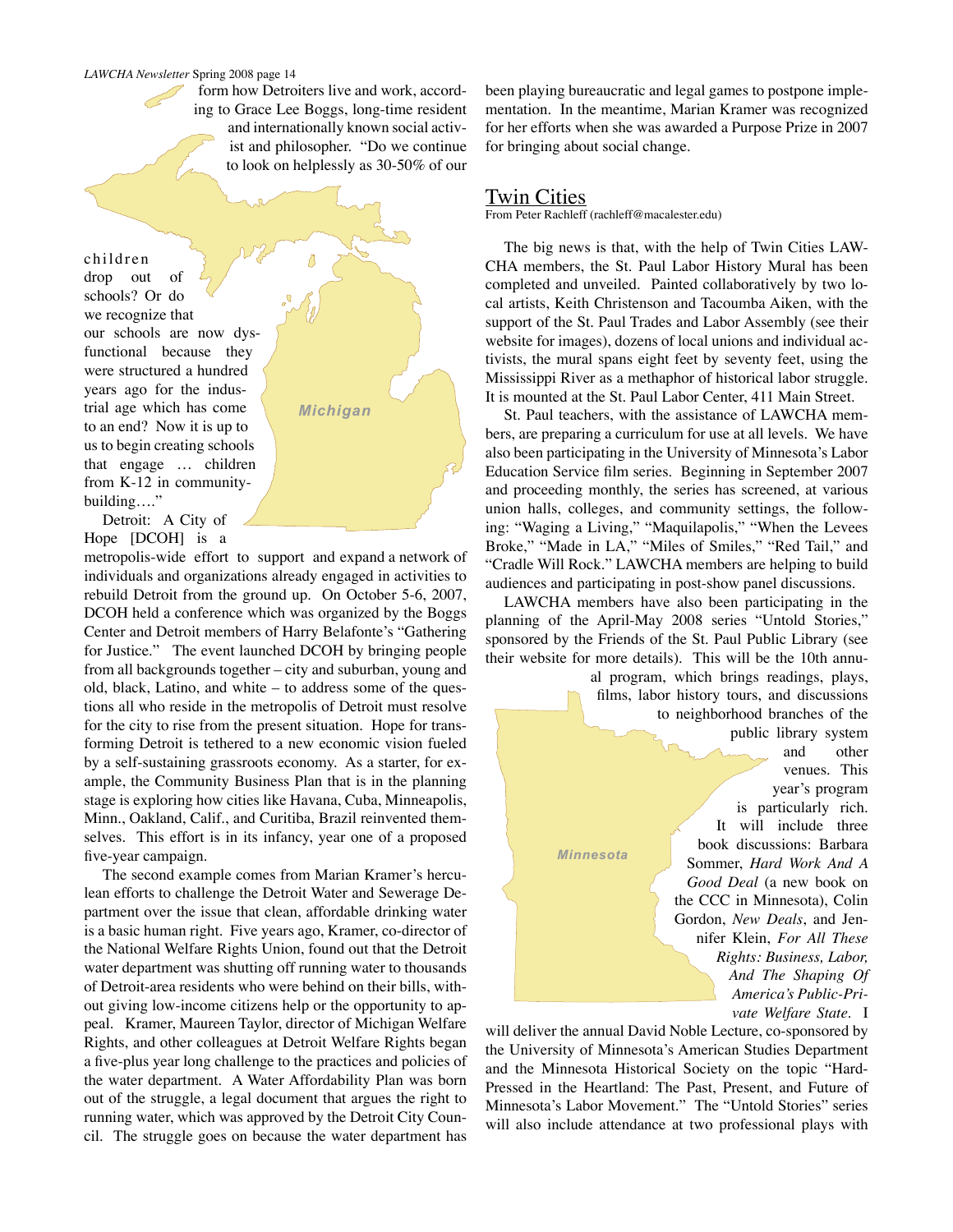form how Detroiters live and work, according to Grace Lee Boggs, long-time resident and internationally known social activist and philosopher. "Do we continue to look on helplessly as 30-50% of our

Δ

*Michigan*

children drop out of schools? Or do we recognize that our schools are now dysfunctional because they were structured a hundred years ago for the industrial age which has come to an end? Now it is up to us to begin creating schools that engage … children from K-12 in communitybuilding…."

Detroit: A City of Hope [DCOH] is a

metropolis-wide effort to support and expand a network of individuals and organizations already engaged in activities to rebuild Detroit from the ground up. On October 5-6, 2007, DCOH held a conference which was organized by the Boggs Center and Detroit members of Harry Belafonte's "Gathering for Justice." The event launched DCOH by bringing people from all backgrounds together – city and suburban, young and old, black, Latino, and white – to address some of the questions all who reside in the metropolis of Detroit must resolve for the city to rise from the present situation. Hope for transforming Detroit is tethered to a new economic vision fueled by a self-sustaining grassroots economy. As a starter, for example, the Community Business Plan that is in the planning stage is exploring how cities like Havana, Cuba, Minneapolis, Minn., Oakland, Calif., and Curitiba, Brazil reinvented themselves. This effort is in its infancy, year one of a proposed five-year campaign.

The second example comes from Marian Kramer's herculean efforts to challenge the Detroit Water and Sewerage Department over the issue that clean, affordable drinking water is a basic human right. Five years ago, Kramer, co-director of the National Welfare Rights Union, found out that the Detroit water department was shutting off running water to thousands of Detroit-area residents who were behind on their bills, without giving low-income citizens help or the opportunity to appeal. Kramer, Maureen Taylor, director of Michigan Welfare Rights, and other colleagues at Detroit Welfare Rights began a five-plus year long challenge to the practices and policies of the water department. A Water Affordability Plan was born out of the struggle, a legal document that argues the right to running water, which was approved by the Detroit City Council. The struggle goes on because the water department has been playing bureaucratic and legal games to postpone implementation. In the meantime, Marian Kramer was recognized for her efforts when she was awarded a Purpose Prize in 2007 for bringing about social change.

#### Twin Cities

From Peter Rachleff (rachleff@macalester.edu)

The big news is that, with the help of Twin Cities LAW-CHA members, the St. Paul Labor History Mural has been completed and unveiled. Painted collaboratively by two local artists, Keith Christenson and Tacoumba Aiken, with the support of the St. Paul Trades and Labor Assembly (see their website for images), dozens of local unions and individual activists, the mural spans eight feet by seventy feet, using the Mississippi River as a methaphor of historical labor struggle. It is mounted at the St. Paul Labor Center, 411 Main Street.

St. Paul teachers, with the assistance of LAWCHA members, are preparing a curriculum for use at all levels. We have also been participating in the University of Minnesota's Labor Education Service film series. Beginning in September 2007 and proceeding monthly, the series has screened, at various union halls, colleges, and community settings, the following: "Waging a Living," "Maquilapolis," "When the Levees Broke," "Made in LA," "Miles of Smiles," "Red Tail," and "Cradle Will Rock." LAWCHA members are helping to build audiences and participating in post-show panel discussions.

LAWCHA members have also been participating in the planning of the April-May 2008 series "Untold Stories," sponsored by the Friends of the St. Paul Public Library (see their website for more details). This will be the 10th annu-

al program, which brings readings, plays, films, labor history tours, and discussions to neighborhood branches of the public library system and other venues. This year's program is particularly rich. It will include three book discussions: Barbara Sommer, *Hard Work And A Good Deal* (a new book on the CCC in Minnesota), Colin Gordon, *New Deals*, and Jennifer Klein, *For All These Rights: Business, Labor, And The Shaping Of America's Public-Private Welfare State*. I *Minnesota*

will deliver the annual David Noble Lecture, co-sponsored by the University of Minnesota's American Studies Department and the Minnesota Historical Society on the topic "Hard-Pressed in the Heartland: The Past, Present, and Future of Minnesota's Labor Movement." The "Untold Stories" series will also include attendance at two professional plays with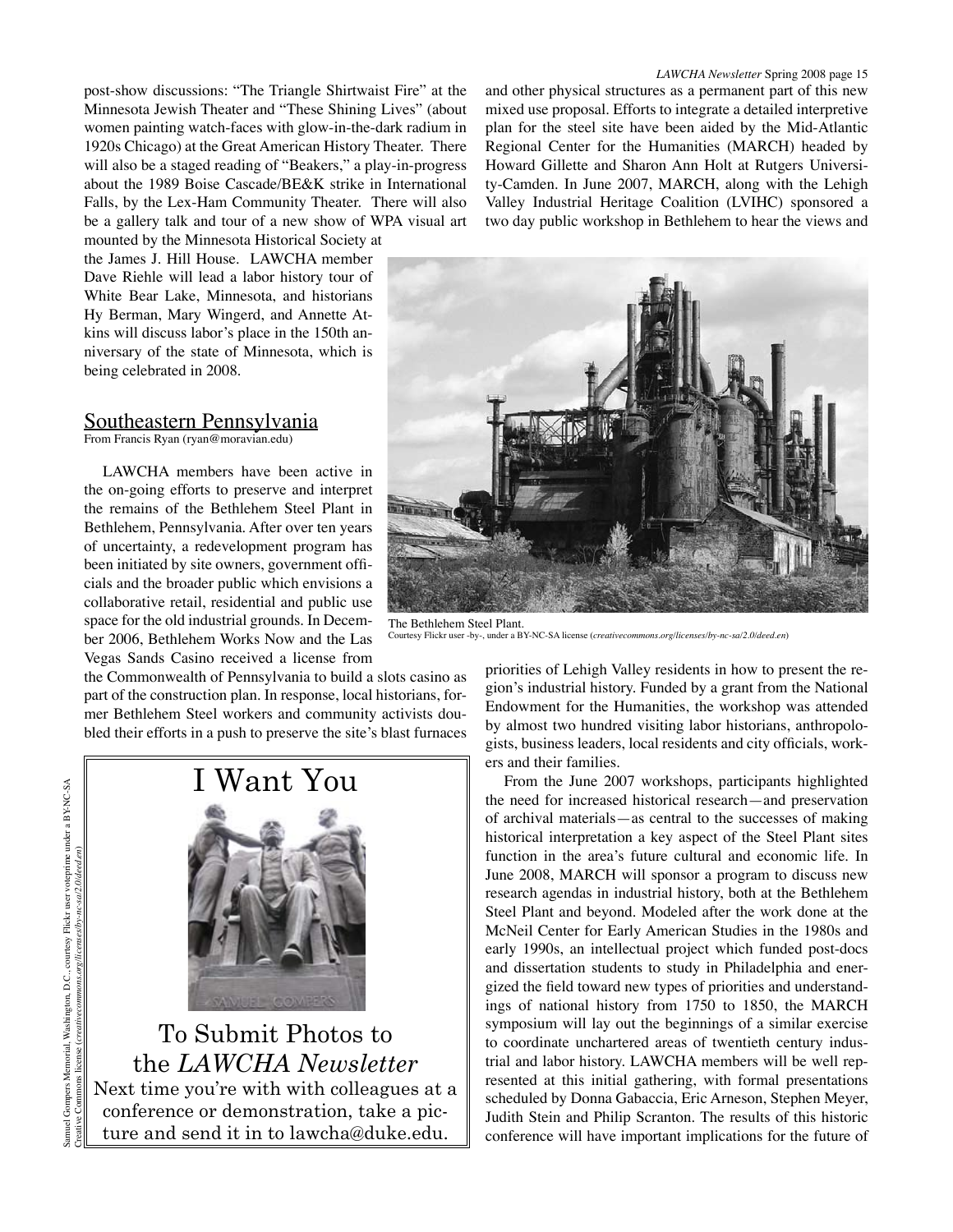mounted by the Minnesota Historical Society at the James J. Hill House. LAWCHA member Dave Riehle will lead a labor history tour of White Bear Lake, Minnesota, and historians Hy Berman, Mary Wingerd, and Annette Atkins will discuss labor's place in the 150th anniversary of the state of Minnesota, which is being celebrated in 2008.

#### Southeastern Pennsylvania

From Francis Ryan (ryan@moravian.edu)

LAWCHA members have been active in the on-going efforts to preserve and interpret the remains of the Bethlehem Steel Plant in Bethlehem, Pennsylvania. After over ten years of uncertainty, a redevelopment program has been initiated by site owners, government officials and the broader public which envisions a collaborative retail, residential and public use space for the old industrial grounds. In December 2006, Bethlehem Works Now and the Las Vegas Sands Casino received a license from

the Commonwealth of Pennsylvania to build a slots casino as part of the construction plan. In response, local historians, former Bethlehem Steel workers and community activists doubled their efforts in a push to preserve the site's blast furnaces

# I Want You

To Submit Photos to the *LAWCHA Newsletter* Next time you're with with colleagues at a conference or demonstration, take a picture and send it in to lawcha@duke.edu.

and other physical structures as a permanent part of this new mixed use proposal. Efforts to integrate a detailed interpretive plan for the steel site have been aided by the Mid-Atlantic Regional Center for the Humanities (MARCH) headed by Howard Gillette and Sharon Ann Holt at Rutgers University-Camden. In June 2007, MARCH, along with the Lehigh Valley Industrial Heritage Coalition (LVIHC) sponsored a two day public workshop in Bethlehem to hear the views and



The Bethlehem Steel Plant. Courtesy Flickr user -by-, under a BY-NC-SA license (*creativecommons.org/licenses/by-nc-sa/2.0/deed.en*)

priorities of Lehigh Valley residents in how to present the region's industrial history. Funded by a grant from the National Endowment for the Humanities, the workshop was attended by almost two hundred visiting labor historians, anthropologists, business leaders, local residents and city officials, workers and their families.

From the June 2007 workshops, participants highlighted the need for increased historical research—and preservation of archival materials—as central to the successes of making historical interpretation a key aspect of the Steel Plant sites function in the area's future cultural and economic life. In June 2008, MARCH will sponsor a program to discuss new research agendas in industrial history, both at the Bethlehem Steel Plant and beyond. Modeled after the work done at the McNeil Center for Early American Studies in the 1980s and early 1990s, an intellectual project which funded post-docs and dissertation students to study in Philadelphia and energized the field toward new types of priorities and understandings of national history from 1750 to 1850, the MARCH symposium will lay out the beginnings of a similar exercise to coordinate unchartered areas of twentieth century industrial and labor history. LAWCHA members will be well represented at this initial gathering, with formal presentations scheduled by Donna Gabaccia, Eric Arneson, Stephen Meyer, Judith Stein and Philip Scranton. The results of this historic conference will have important implications for the future of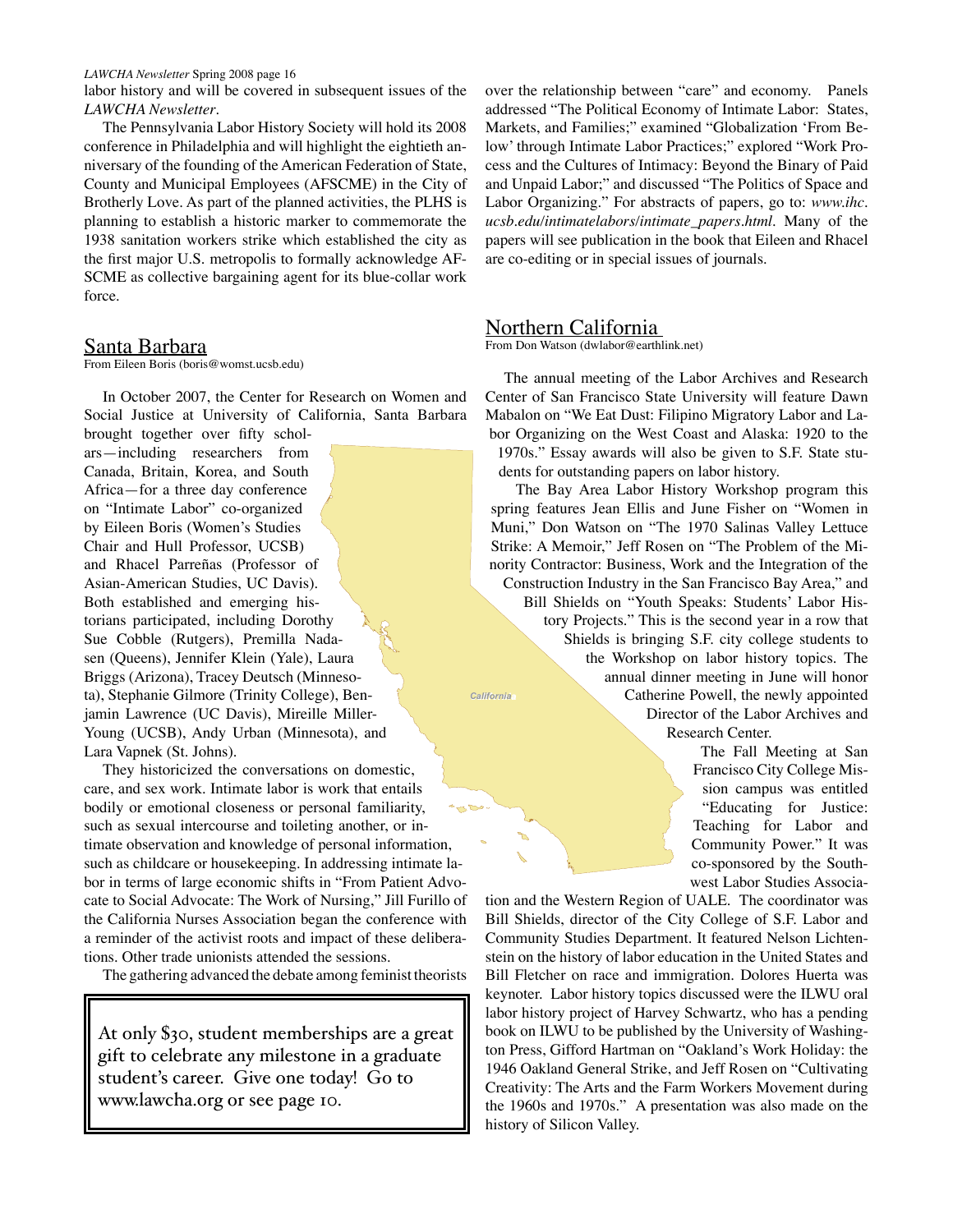labor history and will be covered in subsequent issues of the *LAWCHA Newsletter*.

The Pennsylvania Labor History Society will hold its 2008 conference in Philadelphia and will highlight the eightieth anniversary of the founding of the American Federation of State, County and Municipal Employees (AFSCME) in the City of Brotherly Love. As part of the planned activities, the PLHS is planning to establish a historic marker to commemorate the 1938 sanitation workers strike which established the city as the first major U.S. metropolis to formally acknowledge AF-SCME as collective bargaining agent for its blue-collar work force.

#### Santa Barbara

From Eileen Boris (boris@womst.ucsb.edu)

In October 2007, the Center for Research on Women and Social Justice at University of California, Santa Barbara

brought together over fifty scholars—including researchers from Canada, Britain, Korea, and South Africa—for a three day conference on "Intimate Labor" co-organized by Eileen Boris (Women's Studies Chair and Hull Professor, UCSB) and Rhacel Parreñas (Professor of Asian-American Studies, UC Davis). Both established and emerging historians participated, including Dorothy Sue Cobble (Rutgers), Premilla Nadasen (Queens), Jennifer Klein (Yale), Laura Briggs (Arizona), Tracey Deutsch (Minnesota), Stephanie Gilmore (Trinity College), Benjamin Lawrence (UC Davis), Mireille Miller-Young (UCSB), Andy Urban (Minnesota), and Lara Vapnek (St. Johns).

They historicized the conversations on domestic, care, and sex work. Intimate labor is work that entails bodily or emotional closeness or personal familiarity, such as sexual intercourse and toileting another, or intimate observation and knowledge of personal information, such as childcare or housekeeping. In addressing intimate labor in terms of large economic shifts in "From Patient Advocate to Social Advocate: The Work of Nursing," Jill Furillo of the California Nurses Association began the conference with a reminder of the activist roots and impact of these deliberations. Other trade unionists attended the sessions.

The gathering advanced the debate among feminist theorists

At only \$30, student memberships are a great gift to celebrate any milestone in a graduate student's career. Give one today! Go to www.lawcha.org or see page 10.

over the relationship between "care" and economy. Panels addressed "The Political Economy of Intimate Labor: States, Markets, and Families;" examined "Globalization 'From Below' through Intimate Labor Practices;" explored "Work Process and the Cultures of Intimacy: Beyond the Binary of Paid and Unpaid Labor;" and discussed "The Politics of Space and Labor Organizing." For abstracts of papers, go to: *www.ihc. ucsb.edu/intimatelabors/intimate\_papers.html*. Many of the papers will see publication in the book that Eileen and Rhacel are co-editing or in special issues of journals.

#### Northern California

From Don Watson (dwlabor@earthlink.net)

The annual meeting of the Labor Archives and Research Center of San Francisco State University will feature Dawn Mabalon on "We Eat Dust: Filipino Migratory Labor and Labor Organizing on the West Coast and Alaska: 1920 to the 1970s." Essay awards will also be given to S.F. State students for outstanding papers on labor history.

*California* The Bay Area Labor History Workshop program this spring features Jean Ellis and June Fisher on "Women in Muni," Don Watson on "The 1970 Salinas Valley Lettuce Strike: A Memoir," Jeff Rosen on "The Problem of the Minority Contractor: Business, Work and the Integration of the Construction Industry in the San Francisco Bay Area," and Bill Shields on "Youth Speaks: Students' Labor History Projects." This is the second year in a row that Shields is bringing S.F. city college students to the Workshop on labor history topics. The annual dinner meeting in June will honor Catherine Powell, the newly appointed Director of the Labor Archives and Research Center.

> The Fall Meeting at San Francisco City College Mission campus was entitled "Educating for Justice: Teaching for Labor and Community Power." It was co-sponsored by the Southwest Labor Studies Associa-

tion and the Western Region of UALE. The coordinator was Bill Shields, director of the City College of S.F. Labor and Community Studies Department. It featured Nelson Lichtenstein on the history of labor education in the United States and Bill Fletcher on race and immigration. Dolores Huerta was keynoter. Labor history topics discussed were the ILWU oral labor history project of Harvey Schwartz, who has a pending book on ILWU to be published by the University of Washington Press, Gifford Hartman on "Oakland's Work Holiday: the 1946 Oakland General Strike, and Jeff Rosen on "Cultivating Creativity: The Arts and the Farm Workers Movement during the 1960s and 1970s." A presentation was also made on the history of Silicon Valley.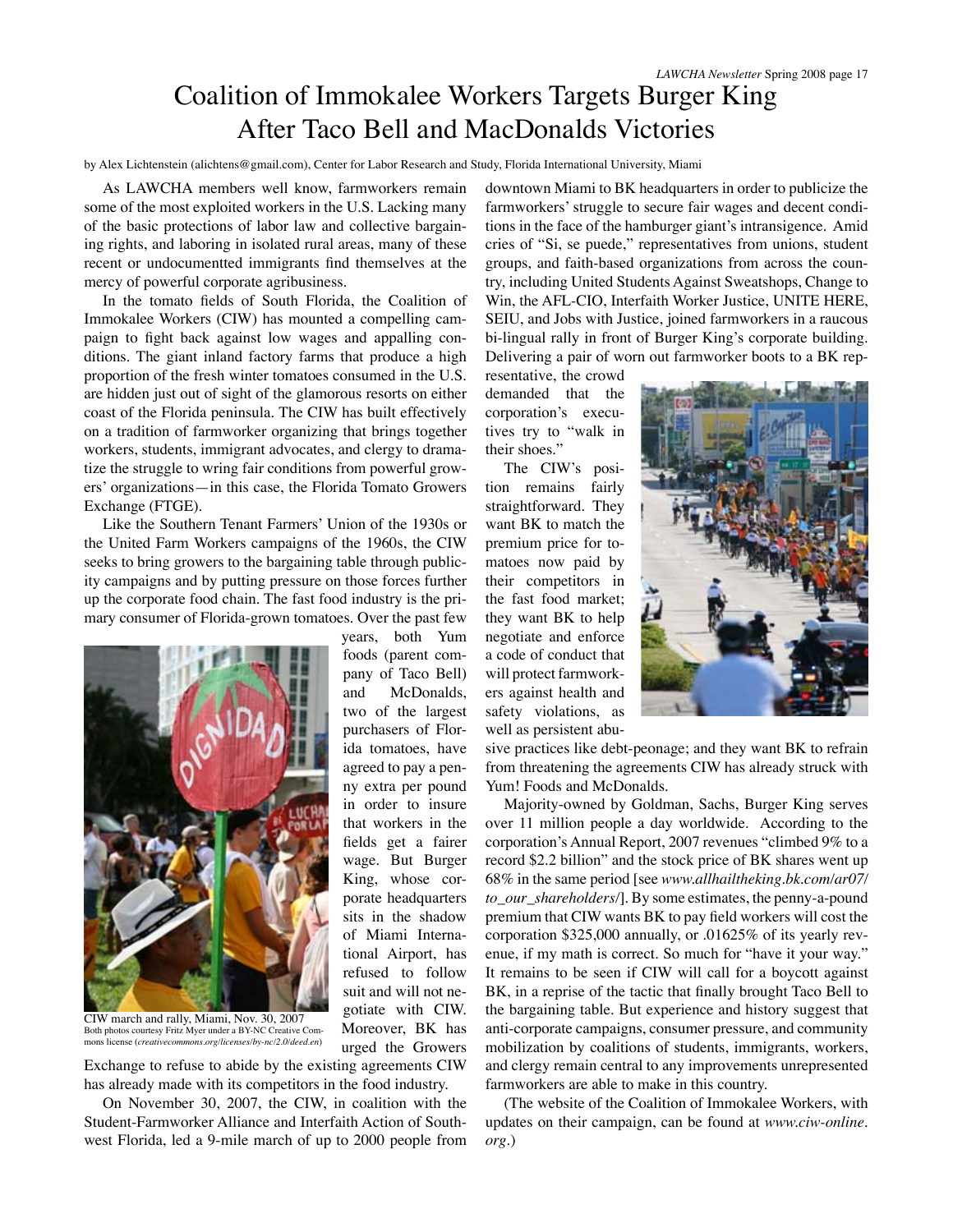## Coalition of Immokalee Workers Targets Burger King After Taco Bell and MacDonalds Victories

by Alex Lichtenstein (alichtens@gmail.com), Center for Labor Research and Study, Florida International University, Miami

years, both Yum foods (parent company of Taco Bell) and McDonalds, two of the largest purchasers of Florida tomatoes, have agreed to pay a penny extra per pound in order to insure that workers in the fields get a fairer wage. But Burger King, whose corporate headquarters sits in the shadow of Miami International Airport, has refused to follow suit and will not negotiate with CIW. Moreover, BK has urged the Growers

As LAWCHA members well know, farmworkers remain some of the most exploited workers in the U.S. Lacking many of the basic protections of labor law and collective bargaining rights, and laboring in isolated rural areas, many of these recent or undocumentted immigrants find themselves at the mercy of powerful corporate agribusiness.

In the tomato fields of South Florida, the Coalition of Immokalee Workers (CIW) has mounted a compelling campaign to fight back against low wages and appalling conditions. The giant inland factory farms that produce a high proportion of the fresh winter tomatoes consumed in the U.S. are hidden just out of sight of the glamorous resorts on either coast of the Florida peninsula. The CIW has built effectively on a tradition of farmworker organizing that brings together workers, students, immigrant advocates, and clergy to dramatize the struggle to wring fair conditions from powerful growers' organizations—in this case, the Florida Tomato Growers Exchange (FTGE).

Like the Southern Tenant Farmers' Union of the 1930s or the United Farm Workers campaigns of the 1960s, the CIW seeks to bring growers to the bargaining table through publicity campaigns and by putting pressure on those forces further up the corporate food chain. The fast food industry is the primary consumer of Florida-grown tomatoes. Over the past few



CIW march and rally, Miami, Nov. 30, 2007 Both photos courtesy Fritz Myer under a BY-NC Creative Commons license (*creativecommons.org/licenses/by-nc/2.0/deed.en*)

Exchange to refuse to abide by the existing agreements CIW has already made with its competitors in the food industry.

On November 30, 2007, the CIW, in coalition with the Student-Farmworker Alliance and Interfaith Action of Southwest Florida, led a 9-mile march of up to 2000 people from downtown Miami to BK headquarters in order to publicize the farmworkers' struggle to secure fair wages and decent conditions in the face of the hamburger giant's intransigence. Amid cries of "Si, se puede," representatives from unions, student groups, and faith-based organizations from across the country, including United Students Against Sweatshops, Change to Win, the AFL-CIO, Interfaith Worker Justice, UNITE HERE, SEIU, and Jobs with Justice, joined farmworkers in a raucous bi-lingual rally in front of Burger King's corporate building. Delivering a pair of worn out farmworker boots to a BK rep-

resentative, the crowd demanded that the corporation's executives try to "walk in their shoes."

The CIW's position remains fairly straightforward. They want BK to match the premium price for tomatoes now paid by their competitors in the fast food market; they want BK to help negotiate and enforce a code of conduct that will protect farmworkers against health and safety violations, as well as persistent abu-



sive practices like debt-peonage; and they want BK to refrain from threatening the agreements CIW has already struck with Yum! Foods and McDonalds.

Majority-owned by Goldman, Sachs, Burger King serves over 11 million people a day worldwide. According to the corporation's Annual Report, 2007 revenues "climbed 9% to a record \$2.2 billion" and the stock price of BK shares went up 68% in the same period [see *www.allhailtheking.bk.com/ar07/ to\_our\_shareholders/*]. By some estimates, the penny-a-pound premium that CIW wants BK to pay field workers will cost the corporation \$325,000 annually, or .01625% of its yearly revenue, if my math is correct. So much for "have it your way." It remains to be seen if CIW will call for a boycott against BK, in a reprise of the tactic that finally brought Taco Bell to the bargaining table. But experience and history suggest that anti-corporate campaigns, consumer pressure, and community mobilization by coalitions of students, immigrants, workers, and clergy remain central to any improvements unrepresented farmworkers are able to make in this country.

(The website of the Coalition of Immokalee Workers, with updates on their campaign, can be found at *www.ciw-online. org*.)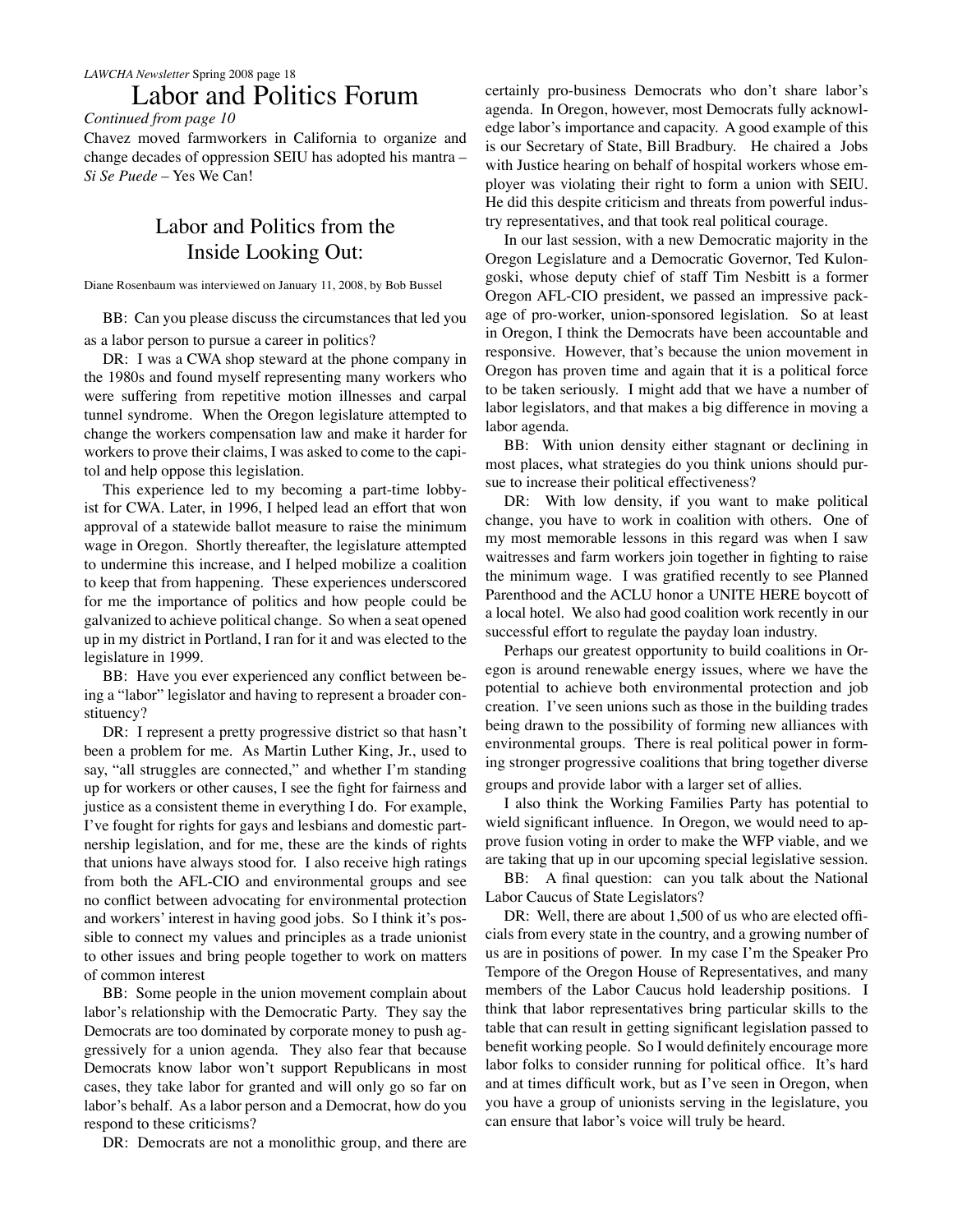## Labor and Politics Forum

*Continued from page 10*

Chavez moved farmworkers in California to organize and change decades of oppression SEIU has adopted his mantra – *Si Se Puede* – Yes We Can!

## Labor and Politics from the Inside Looking Out:

Diane Rosenbaum was interviewed on January 11, 2008, by Bob Bussel

BB: Can you please discuss the circumstances that led you as a labor person to pursue a career in politics?

DR: I was a CWA shop steward at the phone company in the 1980s and found myself representing many workers who were suffering from repetitive motion illnesses and carpal tunnel syndrome. When the Oregon legislature attempted to change the workers compensation law and make it harder for workers to prove their claims, I was asked to come to the capitol and help oppose this legislation.

This experience led to my becoming a part-time lobbyist for CWA. Later, in 1996, I helped lead an effort that won approval of a statewide ballot measure to raise the minimum wage in Oregon. Shortly thereafter, the legislature attempted to undermine this increase, and I helped mobilize a coalition to keep that from happening. These experiences underscored for me the importance of politics and how people could be galvanized to achieve political change. So when a seat opened up in my district in Portland, I ran for it and was elected to the legislature in 1999.

BB: Have you ever experienced any conflict between being a "labor" legislator and having to represent a broader constituency?

DR: I represent a pretty progressive district so that hasn't been a problem for me. As Martin Luther King, Jr., used to say, "all struggles are connected," and whether I'm standing up for workers or other causes, I see the fight for fairness and justice as a consistent theme in everything I do. For example, I've fought for rights for gays and lesbians and domestic partnership legislation, and for me, these are the kinds of rights that unions have always stood for. I also receive high ratings from both the AFL-CIO and environmental groups and see no conflict between advocating for environmental protection and workers' interest in having good jobs. So I think it's possible to connect my values and principles as a trade unionist to other issues and bring people together to work on matters of common interest

BB: Some people in the union movement complain about labor's relationship with the Democratic Party. They say the Democrats are too dominated by corporate money to push aggressively for a union agenda. They also fear that because Democrats know labor won't support Republicans in most cases, they take labor for granted and will only go so far on labor's behalf. As a labor person and a Democrat, how do you respond to these criticisms?

DR: Democrats are not a monolithic group, and there are

certainly pro-business Democrats who don't share labor's agenda. In Oregon, however, most Democrats fully acknowledge labor's importance and capacity. A good example of this is our Secretary of State, Bill Bradbury. He chaired a Jobs with Justice hearing on behalf of hospital workers whose employer was violating their right to form a union with SEIU. He did this despite criticism and threats from powerful industry representatives, and that took real political courage.

In our last session, with a new Democratic majority in the Oregon Legislature and a Democratic Governor, Ted Kulongoski, whose deputy chief of staff Tim Nesbitt is a former Oregon AFL-CIO president, we passed an impressive package of pro-worker, union-sponsored legislation. So at least in Oregon, I think the Democrats have been accountable and responsive. However, that's because the union movement in Oregon has proven time and again that it is a political force to be taken seriously. I might add that we have a number of labor legislators, and that makes a big difference in moving a labor agenda.

BB: With union density either stagnant or declining in most places, what strategies do you think unions should pursue to increase their political effectiveness?

DR: With low density, if you want to make political change, you have to work in coalition with others. One of my most memorable lessons in this regard was when I saw waitresses and farm workers join together in fighting to raise the minimum wage. I was gratified recently to see Planned Parenthood and the ACLU honor a UNITE HERE boycott of a local hotel. We also had good coalition work recently in our successful effort to regulate the payday loan industry.

Perhaps our greatest opportunity to build coalitions in Oregon is around renewable energy issues, where we have the potential to achieve both environmental protection and job creation. I've seen unions such as those in the building trades being drawn to the possibility of forming new alliances with environmental groups. There is real political power in forming stronger progressive coalitions that bring together diverse groups and provide labor with a larger set of allies.

I also think the Working Families Party has potential to wield significant influence. In Oregon, we would need to approve fusion voting in order to make the WFP viable, and we are taking that up in our upcoming special legislative session.

BB: A final question: can you talk about the National Labor Caucus of State Legislators?

DR: Well, there are about 1,500 of us who are elected officials from every state in the country, and a growing number of us are in positions of power. In my case I'm the Speaker Pro Tempore of the Oregon House of Representatives, and many members of the Labor Caucus hold leadership positions. I think that labor representatives bring particular skills to the table that can result in getting significant legislation passed to benefit working people. So I would definitely encourage more labor folks to consider running for political office. It's hard and at times difficult work, but as I've seen in Oregon, when you have a group of unionists serving in the legislature, you can ensure that labor's voice will truly be heard.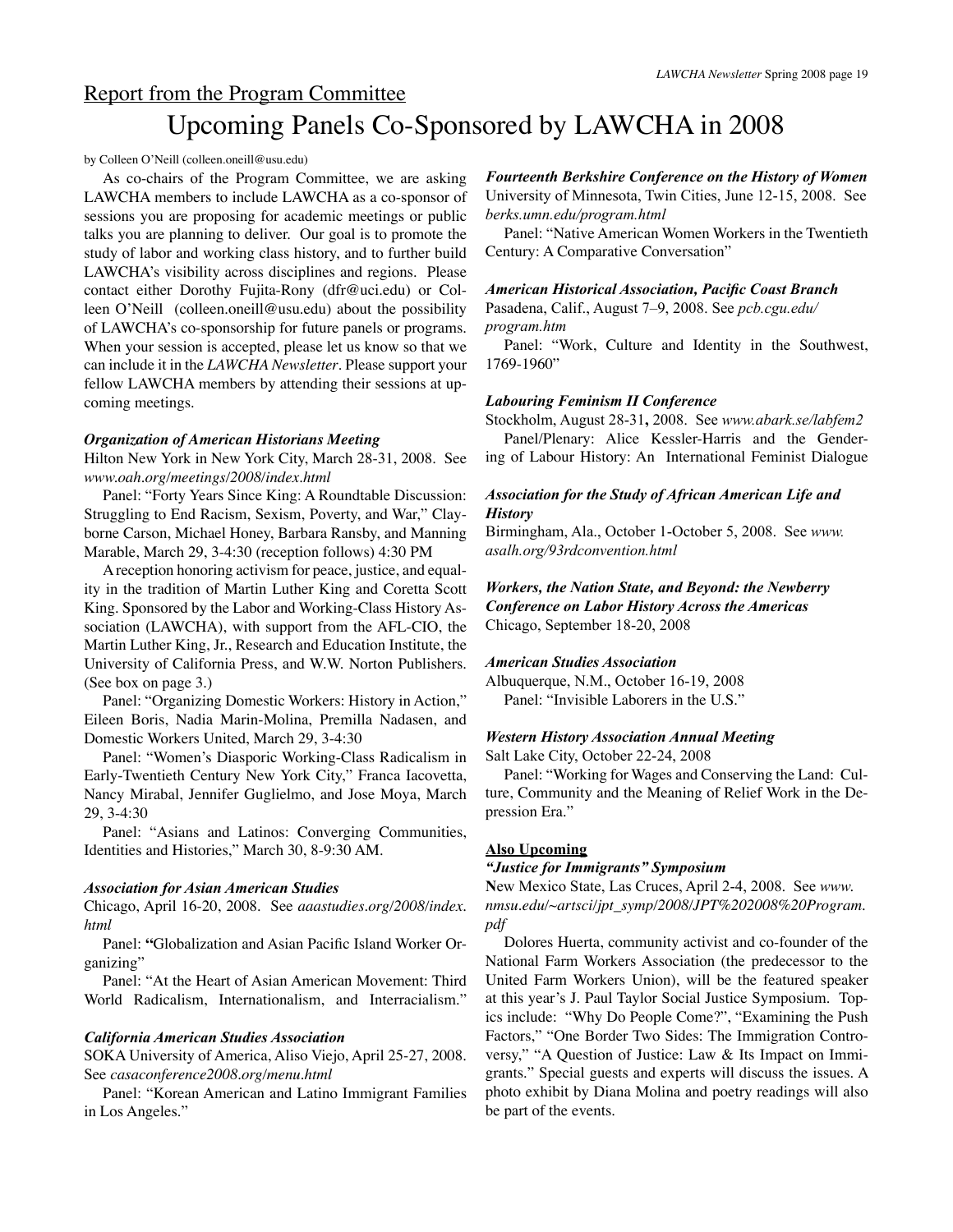## Report from the Program Committee Upcoming Panels Co-Sponsored by LAWCHA in 2008

#### by Colleen O'Neill (colleen.oneill@usu.edu)

As co-chairs of the Program Committee, we are asking LAWCHA members to include LAWCHA as a co-sponsor of sessions you are proposing for academic meetings or public talks you are planning to deliver. Our goal is to promote the study of labor and working class history, and to further build LAWCHA's visibility across disciplines and regions. Please contact either Dorothy Fujita-Rony (dfr@uci.edu) or Colleen O'Neill (colleen.oneill@usu.edu) about the possibility of LAWCHA's co-sponsorship for future panels or programs. When your session is accepted, please let us know so that we can include it in the *LAWCHA Newsletter*. Please support your fellow LAWCHA members by attending their sessions at upcoming meetings.

#### *Organization of American Historians Meeting*

Hilton New York in New York City, March 28-31, 2008. See *www.oah.org/meetings/2008/index.html*

Panel: "Forty Years Since King: A Roundtable Discussion: Struggling to End Racism, Sexism, Poverty, and War," Clayborne Carson, Michael Honey, Barbara Ransby, and Manning Marable, March 29, 3-4:30 (reception follows) 4:30 PM

A reception honoring activism for peace, justice, and equality in the tradition of Martin Luther King and Coretta Scott King. Sponsored by the Labor and Working-Class History Association (LAWCHA), with support from the AFL-CIO, the Martin Luther King, Jr., Research and Education Institute, the University of California Press, and W.W. Norton Publishers. (See box on page 3.)

Panel: "Organizing Domestic Workers: History in Action," Eileen Boris, Nadia Marin-Molina, Premilla Nadasen, and Domestic Workers United, March 29, 3-4:30

Panel: "Women's Diasporic Working-Class Radicalism in Early-Twentieth Century New York City," Franca Iacovetta, Nancy Mirabal, Jennifer Guglielmo, and Jose Moya, March 29, 3-4:30

Panel: "Asians and Latinos: Converging Communities, Identities and Histories," March 30, 8-9:30 AM.

#### *Association for Asian American Studies*

Chicago, April 16-20, 2008. See *aaastudies.org/2008/index. html*

Panel: **"**Globalization and Asian Pacific Island Worker Organizing"

Panel: "At the Heart of Asian American Movement: Third World Radicalism, Internationalism, and Interracialism."

#### *California American Studies Association*

SOKA University of America, Aliso Viejo, April 25-27, 2008. See *casaconference2008.org/menu.html*

Panel: "Korean American and Latino Immigrant Families in Los Angeles."

#### *Fourteenth Berkshire Conference on the History of Women* University of Minnesota, Twin Cities, June 12-15, 2008. See *berks.umn.edu/program.html*

Panel: "Native American Women Workers in the Twentieth Century: A Comparative Conversation"

#### *American Historical Association, Pacific Coast Branch*

Pasadena, Calif., August 7–9, 2008. See *pcb.cgu.edu/ program.htm*

Panel: "Work, Culture and Identity in the Southwest, 1769-1960"

#### *Labouring Feminism II Conference*

Stockholm, August 28-31**,** 2008. See *www.abark.se/labfem2* Panel/Plenary: Alice Kessler-Harris and the Gender-

ing of Labour History: An International Feminist Dialogue

#### *Association for the Study of African American Life and History*

Birmingham, Ala., October 1-October 5, 2008. See *www. asalh.org/93rdconvention.html*

#### *Workers, the Nation State, and Beyond: the Newberry Conference on Labor History Across the Americas* Chicago, September 18-20, 2008

#### *American Studies Association*

Albuquerque, N.M., October 16-19, 2008 Panel: "Invisible Laborers in the U.S."

#### *Western History Association Annual Meeting*

Salt Lake City, October 22-24, 2008

Panel: "Working for Wages and Conserving the Land: Culture, Community and the Meaning of Relief Work in the Depression Era."

#### **Also Upcoming**

#### *"Justice for Immigrants" Symposium*

**N**ew Mexico State, Las Cruces, April 2-4, 2008. See *www. nmsu.edu/~artsci/jpt\_symp/2008/JPT%202008%20Program. pdf*

Dolores Huerta, community activist and co-founder of the National Farm Workers Association (the predecessor to the United Farm Workers Union), will be the featured speaker at this year's J. Paul Taylor Social Justice Symposium. Topics include: "Why Do People Come?", "Examining the Push Factors," "One Border Two Sides: The Immigration Controversy," "A Question of Justice: Law & Its Impact on Immigrants." Special guests and experts will discuss the issues. A photo exhibit by Diana Molina and poetry readings will also be part of the events.